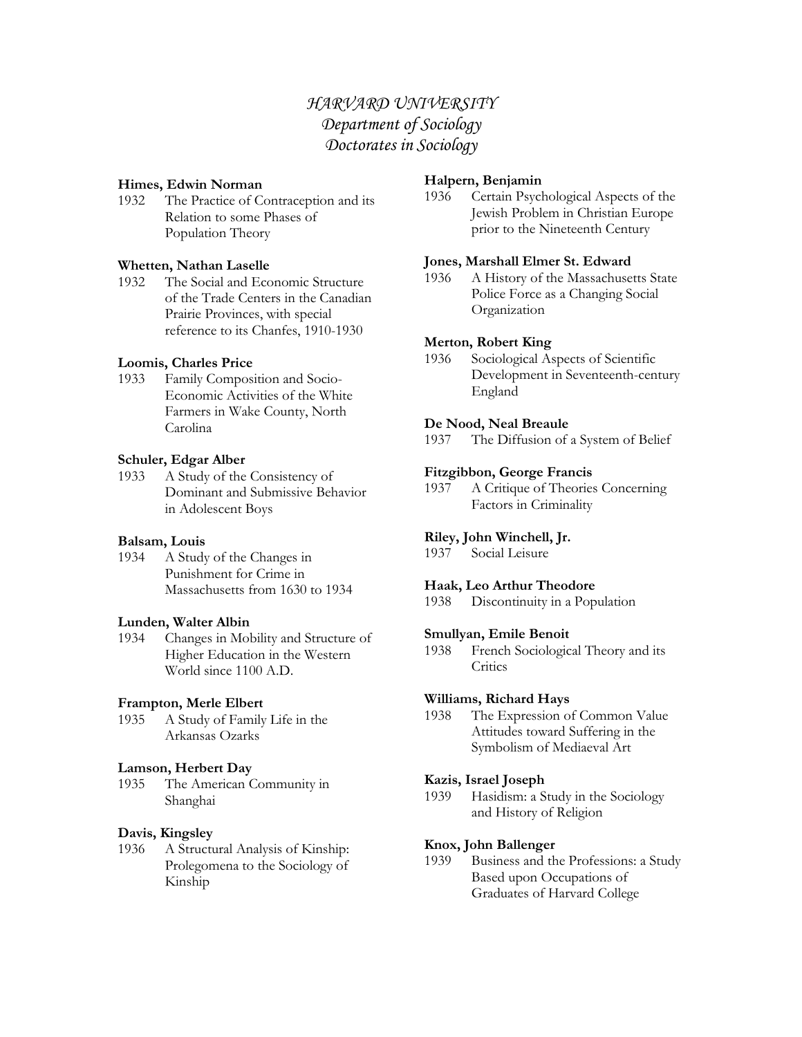# *HARVARD UNIVERSITY Department of Sociology Doctorates in Sociology*

### **Himes, Edwin Norman**

1932 The Practice of Contraception and its Relation to some Phases of Population Theory

### **Whetten, Nathan Laselle**

1932 The Social and Economic Structure of the Trade Centers in the Canadian Prairie Provinces, with special reference to its Chanfes, 1910-1930

### **Loomis, Charles Price**

1933 Family Composition and Socio-Economic Activities of the White Farmers in Wake County, North Carolina

### **Schuler, Edgar Alber**

1933 A Study of the Consistency of Dominant and Submissive Behavior in Adolescent Boys

#### **Balsam, Louis**

1934 A Study of the Changes in Punishment for Crime in Massachusetts from 1630 to 1934

#### **Lunden, Walter Albin**

1934 Changes in Mobility and Structure of Higher Education in the Western World since 1100 A.D.

#### **Frampton, Merle Elbert**

1935 A Study of Family Life in the Arkansas Ozarks

#### **Lamson, Herbert Day**

1935 The American Community in Shanghai

### **Davis, Kingsley**

1936 A Structural Analysis of Kinship: Prolegomena to the Sociology of Kinship

### **Halpern, Benjamin**

1936 Certain Psychological Aspects of the Jewish Problem in Christian Europe prior to the Nineteenth Century

### **Jones, Marshall Elmer St. Edward**

1936 A History of the Massachusetts State Police Force as a Changing Social Organization

#### **Merton, Robert King**

1936 Sociological Aspects of Scientific Development in Seventeenth-century England

### **De Nood, Neal Breaule**

1937 The Diffusion of a System of Belief

#### **Fitzgibbon, George Francis**

1937 A Critique of Theories Concerning Factors in Criminality

### **Riley, John Winchell, Jr.**

1937 Social Leisure

### **Haak, Leo Arthur Theodore**

1938 Discontinuity in a Population

#### **Smullyan, Emile Benoit**

1938 French Sociological Theory and its **Critics** 

# **Williams, Richard Hays**

1938 The Expression of Common Value Attitudes toward Suffering in the Symbolism of Mediaeval Art

#### **Kazis, Israel Joseph**

1939 Hasidism: a Study in the Sociology and History of Religion

#### **Knox, John Ballenger**

1939 Business and the Professions: a Study Based upon Occupations of Graduates of Harvard College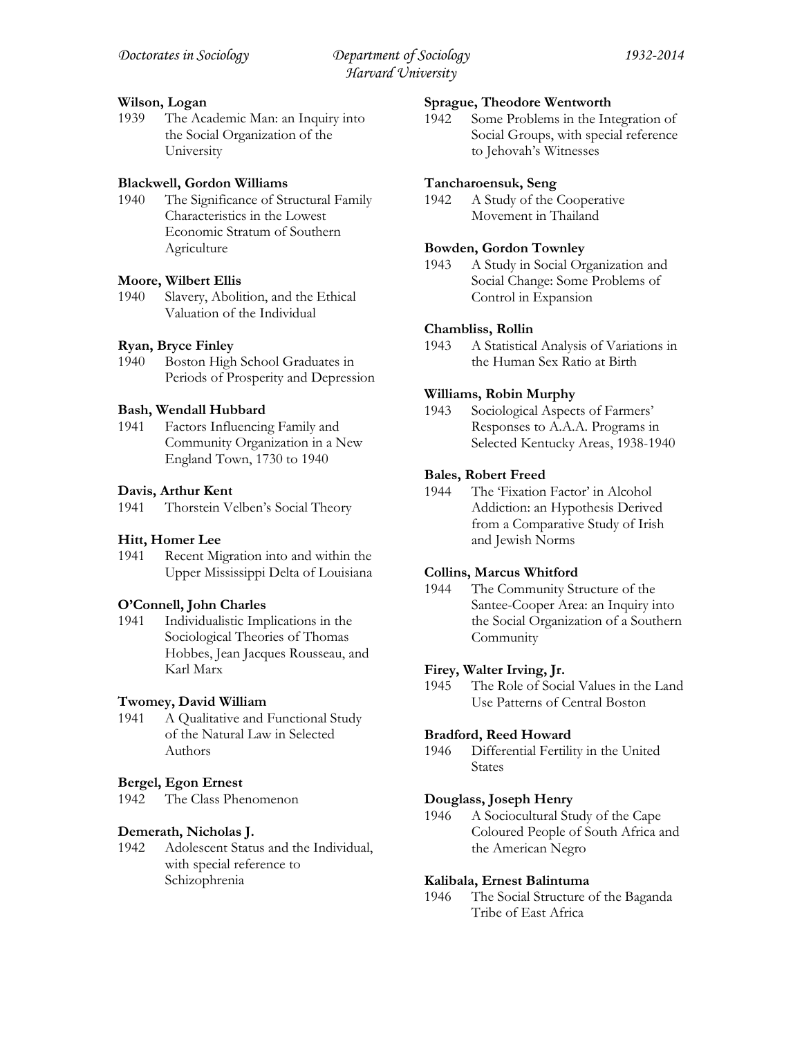# **Wilson, Logan**

1939 The Academic Man: an Inquiry into the Social Organization of the University

# **Blackwell, Gordon Williams**

1940 The Significance of Structural Family Characteristics in the Lowest Economic Stratum of Southern Agriculture

# **Moore, Wilbert Ellis**

1940 Slavery, Abolition, and the Ethical Valuation of the Individual

# **Ryan, Bryce Finley**

1940 Boston High School Graduates in Periods of Prosperity and Depression

# **Bash, Wendall Hubbard**

1941 Factors Influencing Family and Community Organization in a New England Town, 1730 to 1940

# **Davis, Arthur Kent**

1941 Thorstein Velben's Social Theory

# **Hitt, Homer Lee**

1941 Recent Migration into and within the Upper Mississippi Delta of Louisiana

# **O'Connell, John Charles**

1941 Individualistic Implications in the Sociological Theories of Thomas Hobbes, Jean Jacques Rousseau, and Karl Marx

# **Twomey, David William**

1941 A Qualitative and Functional Study of the Natural Law in Selected Authors

# **Bergel, Egon Ernest**

1942 The Class Phenomenon

# **Demerath, Nicholas J.**

1942 Adolescent Status and the Individual, with special reference to Schizophrenia

### **Sprague, Theodore Wentworth**

1942 Some Problems in the Integration of Social Groups, with special reference to Jehovah's Witnesses

### **Tancharoensuk, Seng**

1942 A Study of the Cooperative Movement in Thailand

### **Bowden, Gordon Townley**

1943 A Study in Social Organization and Social Change: Some Problems of Control in Expansion

# **Chambliss, Rollin**

1943 A Statistical Analysis of Variations in the Human Sex Ratio at Birth

# **Williams, Robin Murphy**

1943 Sociological Aspects of Farmers' Responses to A.A.A. Programs in Selected Kentucky Areas, 1938-1940

# **Bales, Robert Freed**

1944 The 'Fixation Factor' in Alcohol Addiction: an Hypothesis Derived from a Comparative Study of Irish and Jewish Norms

### **Collins, Marcus Whitford**

1944 The Community Structure of the Santee-Cooper Area: an Inquiry into the Social Organization of a Southern Community

# **Firey, Walter Irving, Jr.**

1945 The Role of Social Values in the Land Use Patterns of Central Boston

### **Bradford, Reed Howard**

1946 Differential Fertility in the United States

### **Douglass, Joseph Henry**

1946 A Sociocultural Study of the Cape Coloured People of South Africa and the American Negro

### **Kalibala, Ernest Balintuma**

1946 The Social Structure of the Baganda Tribe of East Africa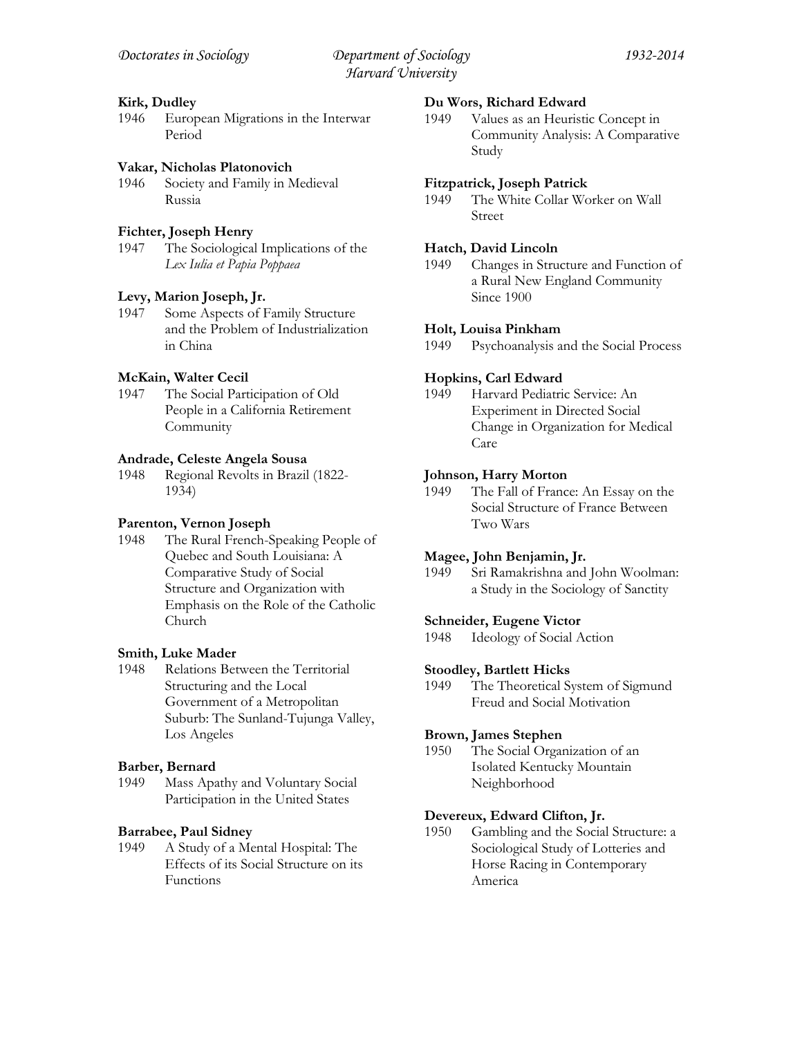### **Kirk, Dudley**

1946 European Migrations in the Interwar Period

### **Vakar, Nicholas Platonovich**

1946 Society and Family in Medieval Russia

# **Fichter, Joseph Henry**

1947 The Sociological Implications of the *Lex Iulia et Papia Poppaea*

### **Levy, Marion Joseph, Jr.**

1947 Some Aspects of Family Structure and the Problem of Industrialization in China

# **McKain, Walter Cecil**

1947 The Social Participation of Old People in a California Retirement **Community** 

### **Andrade, Celeste Angela Sousa**

1948 Regional Revolts in Brazil (1822- 1934)

### **Parenton, Vernon Joseph**

1948 The Rural French-Speaking People of Quebec and South Louisiana: A Comparative Study of Social Structure and Organization with Emphasis on the Role of the Catholic Church

### **Smith, Luke Mader**

1948 Relations Between the Territorial Structuring and the Local Government of a Metropolitan Suburb: The Sunland-Tujunga Valley, Los Angeles

### **Barber, Bernard**

1949 Mass Apathy and Voluntary Social Participation in the United States

### **Barrabee, Paul Sidney**

1949 A Study of a Mental Hospital: The Effects of its Social Structure on its Functions

#### **Du Wors, Richard Edward**

1949 Values as an Heuristic Concept in Community Analysis: A Comparative Study

#### **Fitzpatrick, Joseph Patrick**

1949 The White Collar Worker on Wall Street

### **Hatch, David Lincoln**

1949 Changes in Structure and Function of a Rural New England Community Since 1900

### **Holt, Louisa Pinkham**

1949 Psychoanalysis and the Social Process

### **Hopkins, Carl Edward**

1949 Harvard Pediatric Service: An Experiment in Directed Social Change in Organization for Medical Care

### **Johnson, Harry Morton**

1949 The Fall of France: An Essay on the Social Structure of France Between Two Wars

### **Magee, John Benjamin, Jr.**

1949 Sri Ramakrishna and John Woolman: a Study in the Sociology of Sanctity

#### **Schneider, Eugene Victor**

1948 Ideology of Social Action

### **Stoodley, Bartlett Hicks**

1949 The Theoretical System of Sigmund Freud and Social Motivation

### **Brown, James Stephen**

1950 The Social Organization of an Isolated Kentucky Mountain Neighborhood

#### **Devereux, Edward Clifton, Jr.**

1950 Gambling and the Social Structure: a Sociological Study of Lotteries and Horse Racing in Contemporary America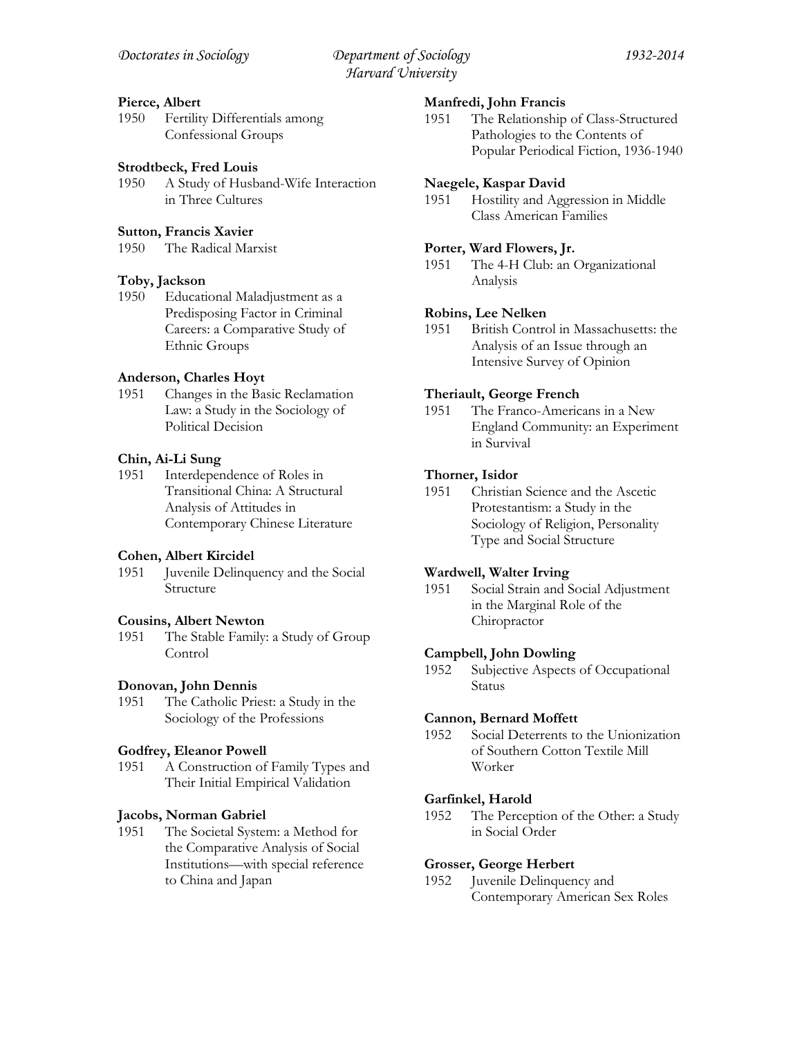### **Pierce, Albert**

1950 Fertility Differentials among Confessional Groups

### **Strodtbeck, Fred Louis**

1950 A Study of Husband-Wife Interaction in Three Cultures

### **Sutton, Francis Xavier**

1950 The Radical Marxist

### **Toby, Jackson**

1950 Educational Maladjustment as a Predisposing Factor in Criminal Careers: a Comparative Study of Ethnic Groups

### **Anderson, Charles Hoyt**

1951 Changes in the Basic Reclamation Law: a Study in the Sociology of Political Decision

### **Chin, Ai-Li Sung**

1951 Interdependence of Roles in Transitional China: A Structural Analysis of Attitudes in Contemporary Chinese Literature

#### **Cohen, Albert Kircidel**

1951 Juvenile Delinquency and the Social Structure

#### **Cousins, Albert Newton**

1951 The Stable Family: a Study of Group **Control** 

### **Donovan, John Dennis**

1951 The Catholic Priest: a Study in the Sociology of the Professions

#### **Godfrey, Eleanor Powell**

1951 A Construction of Family Types and Their Initial Empirical Validation

#### **Jacobs, Norman Gabriel**

1951 The Societal System: a Method for the Comparative Analysis of Social Institutions—with special reference to China and Japan

#### **Manfredi, John Francis**

1951 The Relationship of Class-Structured Pathologies to the Contents of Popular Periodical Fiction, 1936-1940

#### **Naegele, Kaspar David**

1951 Hostility and Aggression in Middle Class American Families

#### **Porter, Ward Flowers, Jr.**

1951 The 4-H Club: an Organizational Analysis

#### **Robins, Lee Nelken**

1951 British Control in Massachusetts: the Analysis of an Issue through an Intensive Survey of Opinion

#### **Theriault, George French**

1951 The Franco-Americans in a New England Community: an Experiment in Survival

### **Thorner, Isidor**

1951 Christian Science and the Ascetic Protestantism: a Study in the Sociology of Religion, Personality Type and Social Structure

### **Wardwell, Walter Irving**

1951 Social Strain and Social Adjustment in the Marginal Role of the Chiropractor

#### **Campbell, John Dowling**

1952 Subjective Aspects of Occupational Status

#### **Cannon, Bernard Moffett**

1952 Social Deterrents to the Unionization of Southern Cotton Textile Mill Worker

### **Garfinkel, Harold**

1952 The Perception of the Other: a Study in Social Order

#### **Grosser, George Herbert**

1952 Juvenile Delinquency and Contemporary American Sex Roles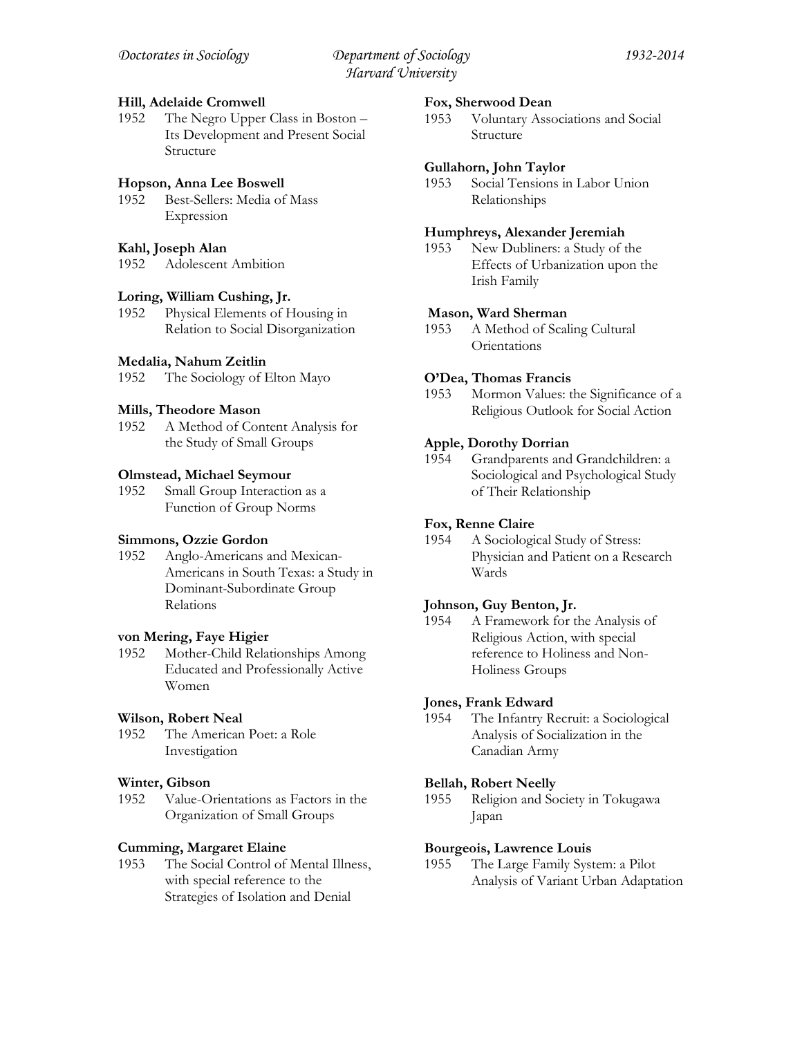### **Hill, Adelaide Cromwell**

1952 The Negro Upper Class in Boston – Its Development and Present Social Structure

# **Hopson, Anna Lee Boswell**

1952 Best-Sellers: Media of Mass Expression

# **Kahl, Joseph Alan**

1952 Adolescent Ambition

### **Loring, William Cushing, Jr.**

1952 Physical Elements of Housing in Relation to Social Disorganization

# **Medalia, Nahum Zeitlin**

1952 The Sociology of Elton Mayo

# **Mills, Theodore Mason**

1952 A Method of Content Analysis for the Study of Small Groups

# **Olmstead, Michael Seymour**

1952 Small Group Interaction as a Function of Group Norms

### **Simmons, Ozzie Gordon**

1952 Anglo-Americans and Mexican-Americans in South Texas: a Study in Dominant-Subordinate Group Relations

### **von Mering, Faye Higier**

1952 Mother-Child Relationships Among Educated and Professionally Active Women

# **Wilson, Robert Neal**

1952 The American Poet: a Role Investigation

### **Winter, Gibson**

1952 Value-Orientations as Factors in the Organization of Small Groups

# **Cumming, Margaret Elaine**

1953 The Social Control of Mental Illness, with special reference to the Strategies of Isolation and Denial

### **Fox, Sherwood Dean**

1953 Voluntary Associations and Social Structure

### **Gullahorn, John Taylor**

1953 Social Tensions in Labor Union Relationships

### **Humphreys, Alexander Jeremiah**

1953 New Dubliners: a Study of the Effects of Urbanization upon the Irish Family

# **Mason, Ward Sherman**

1953 A Method of Scaling Cultural **Orientations** 

# **O'Dea, Thomas Francis**

1953 Mormon Values: the Significance of a Religious Outlook for Social Action

# **Apple, Dorothy Dorrian**

1954 Grandparents and Grandchildren: a Sociological and Psychological Study of Their Relationship

### **Fox, Renne Claire**

1954 A Sociological Study of Stress: Physician and Patient on a Research Wards

# **Johnson, Guy Benton, Jr.**

1954 A Framework for the Analysis of Religious Action, with special reference to Holiness and Non-Holiness Groups

# **Jones, Frank Edward**

1954 The Infantry Recruit: a Sociological Analysis of Socialization in the Canadian Army

### **Bellah, Robert Neelly**

1955 Religion and Society in Tokugawa Japan

### **Bourgeois, Lawrence Louis**

1955 The Large Family System: a Pilot Analysis of Variant Urban Adaptation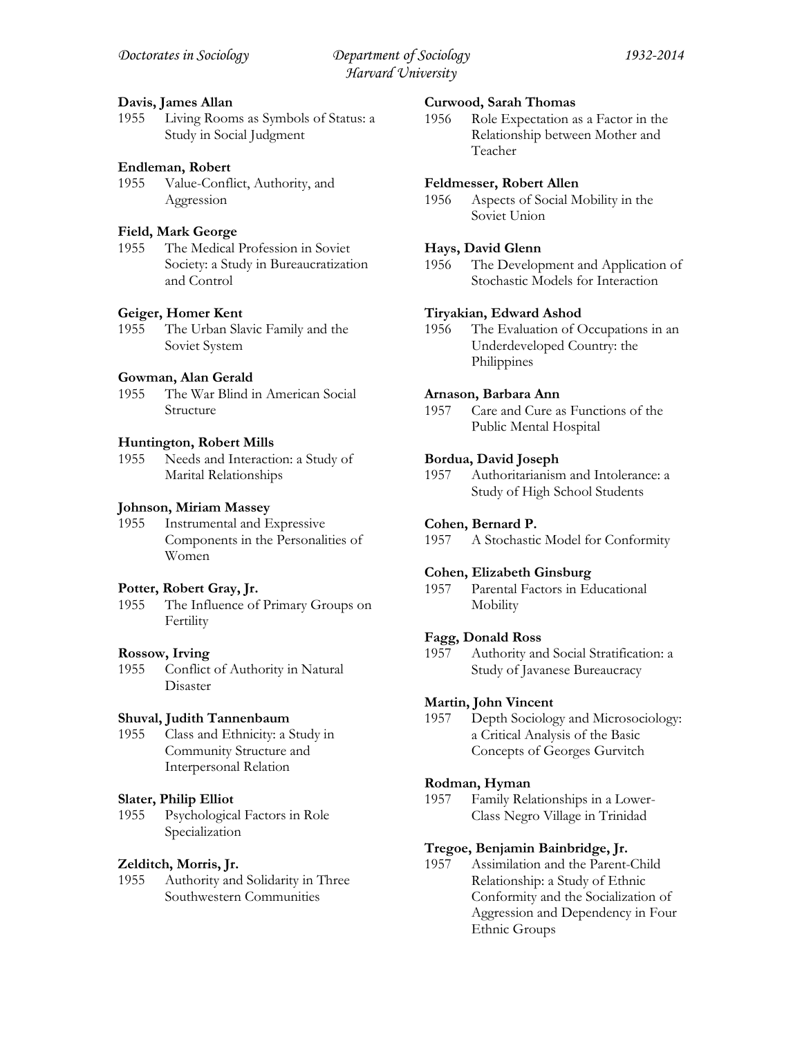### **Davis, James Allan**

1955 Living Rooms as Symbols of Status: a Study in Social Judgment

### **Endleman, Robert**

1955 Value-Conflict, Authority, and Aggression

### **Field, Mark George**

1955 The Medical Profession in Soviet Society: a Study in Bureaucratization and Control

### **Geiger, Homer Kent**

1955 The Urban Slavic Family and the Soviet System

### **Gowman, Alan Gerald**

1955 The War Blind in American Social Structure

#### **Huntington, Robert Mills**

1955 Needs and Interaction: a Study of Marital Relationships

#### **Johnson, Miriam Massey**

1955 Instrumental and Expressive Components in the Personalities of Women

#### **Potter, Robert Gray, Jr.**

1955 The Influence of Primary Groups on Fertility

#### **Rossow, Irving**

1955 Conflict of Authority in Natural Disaster

#### **Shuval, Judith Tannenbaum**

1955 Class and Ethnicity: a Study in Community Structure and Interpersonal Relation

#### **Slater, Philip Elliot**

1955 Psychological Factors in Role Specialization

#### **Zelditch, Morris, Jr.**

1955 Authority and Solidarity in Three Southwestern Communities

### **Curwood, Sarah Thomas**

1956 Role Expectation as a Factor in the Relationship between Mother and Teacher

#### **Feldmesser, Robert Allen**

1956 Aspects of Social Mobility in the Soviet Union

#### **Hays, David Glenn**

1956 The Development and Application of Stochastic Models for Interaction

#### **Tiryakian, Edward Ashod**

1956 The Evaluation of Occupations in an Underdeveloped Country: the Philippines

#### **Arnason, Barbara Ann**

1957 Care and Cure as Functions of the Public Mental Hospital

# **Bordua, David Joseph**

1957 Authoritarianism and Intolerance: a Study of High School Students

#### **Cohen, Bernard P.**

1957 A Stochastic Model for Conformity

### **Cohen, Elizabeth Ginsburg**

1957 Parental Factors in Educational **Mobility** 

#### **Fagg, Donald Ross**

1957 Authority and Social Stratification: a Study of Javanese Bureaucracy

### **Martin, John Vincent**

1957 Depth Sociology and Microsociology: a Critical Analysis of the Basic Concepts of Georges Gurvitch

#### **Rodman, Hyman**

1957 Family Relationships in a Lower-Class Negro Village in Trinidad

#### **Tregoe, Benjamin Bainbridge, Jr.**

1957 Assimilation and the Parent-Child Relationship: a Study of Ethnic Conformity and the Socialization of Aggression and Dependency in Four Ethnic Groups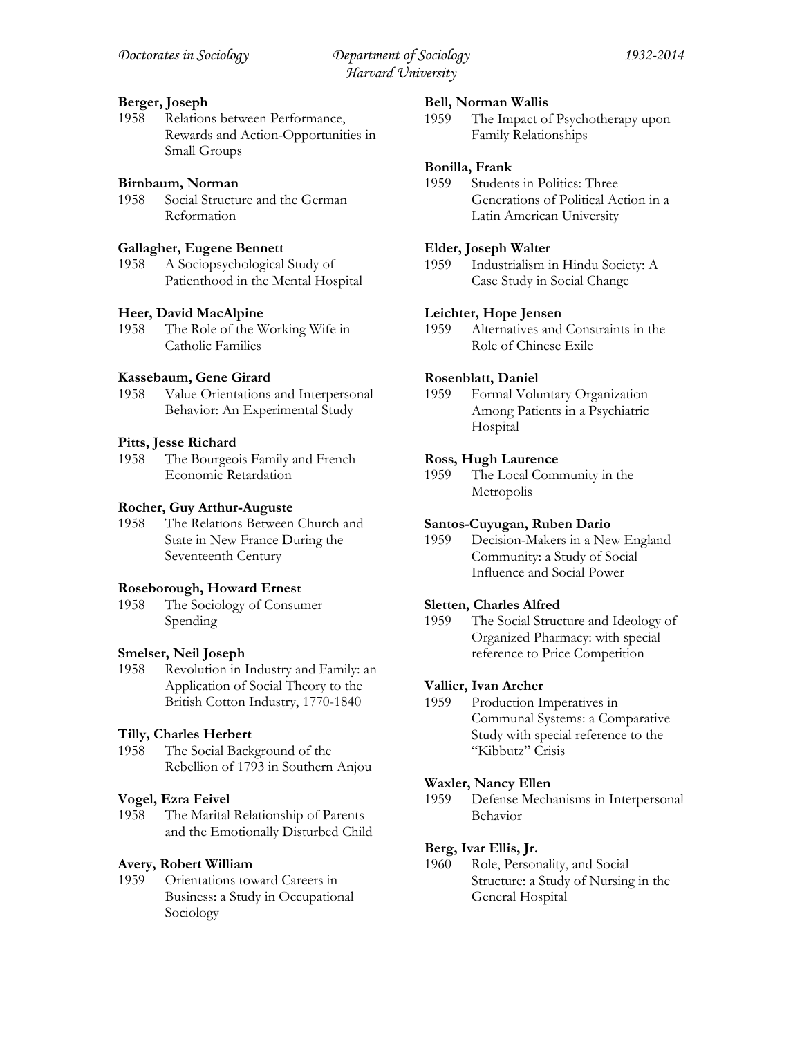# **Berger, Joseph**

1958 Relations between Performance, Rewards and Action-Opportunities in Small Groups

# **Birnbaum, Norman**

1958 Social Structure and the German Reformation

# **Gallagher, Eugene Bennett**

1958 A Sociopsychological Study of Patienthood in the Mental Hospital

# **Heer, David MacAlpine**

1958 The Role of the Working Wife in Catholic Families

# **Kassebaum, Gene Girard**

1958 Value Orientations and Interpersonal Behavior: An Experimental Study

# **Pitts, Jesse Richard**

1958 The Bourgeois Family and French Economic Retardation

### **Rocher, Guy Arthur-Auguste**

1958 The Relations Between Church and State in New France During the Seventeenth Century

### **Roseborough, Howard Ernest**

1958 The Sociology of Consumer Spending

### **Smelser, Neil Joseph**

1958 Revolution in Industry and Family: an Application of Social Theory to the British Cotton Industry, 1770-1840

# **Tilly, Charles Herbert**

1958 The Social Background of the Rebellion of 1793 in Southern Anjou

### **Vogel, Ezra Feivel**

1958 The Marital Relationship of Parents and the Emotionally Disturbed Child

### **Avery, Robert William**

1959 Orientations toward Careers in Business: a Study in Occupational Sociology

### **Bell, Norman Wallis**

1959 The Impact of Psychotherapy upon Family Relationships

### **Bonilla, Frank**

1959 Students in Politics: Three Generations of Political Action in a Latin American University

### **Elder, Joseph Walter**

1959 Industrialism in Hindu Society: A Case Study in Social Change

### **Leichter, Hope Jensen**

1959 Alternatives and Constraints in the Role of Chinese Exile

# **Rosenblatt, Daniel**

1959 Formal Voluntary Organization Among Patients in a Psychiatric Hospital

### **Ross, Hugh Laurence**

1959 The Local Community in the Metropolis

### **Santos-Cuyugan, Ruben Dario**

1959 Decision-Makers in a New England Community: a Study of Social Influence and Social Power

# **Sletten, Charles Alfred**

1959 The Social Structure and Ideology of Organized Pharmacy: with special reference to Price Competition

### **Vallier, Ivan Archer**

1959 Production Imperatives in Communal Systems: a Comparative Study with special reference to the "Kibbutz" Crisis

### **Waxler, Nancy Ellen**

1959 Defense Mechanisms in Interpersonal Behavior

### **Berg, Ivar Ellis, Jr.**

1960 Role, Personality, and Social Structure: a Study of Nursing in the General Hospital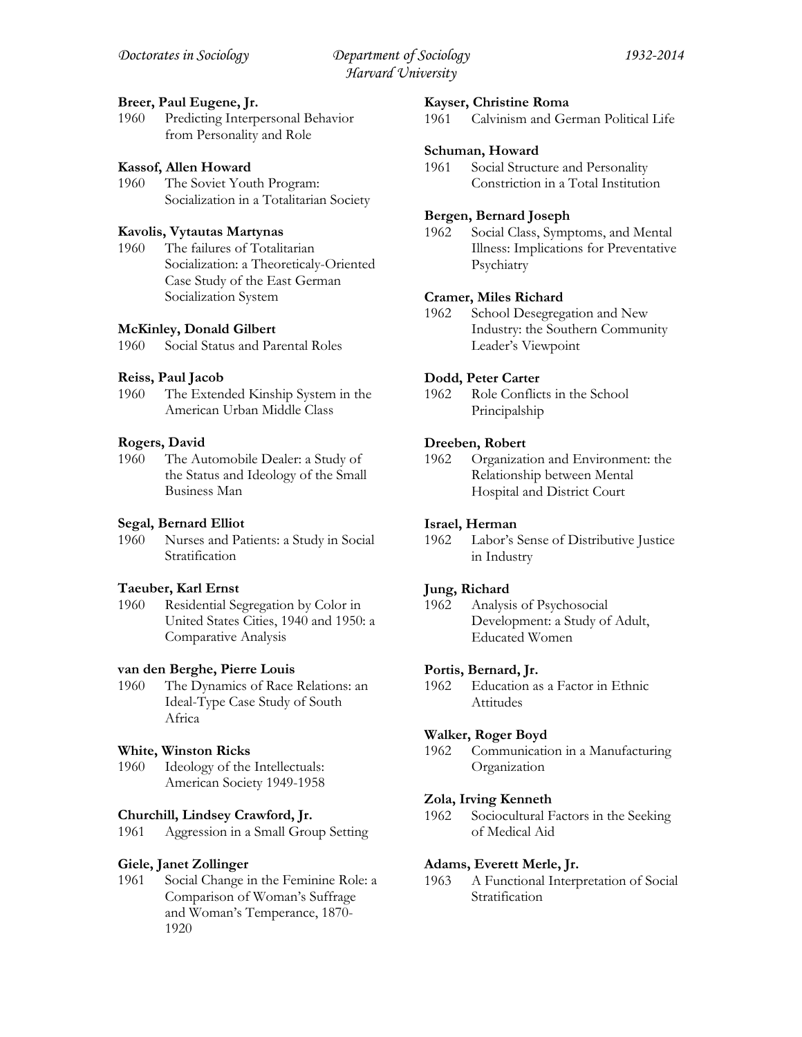# **Breer, Paul Eugene, Jr.**

1960 Predicting Interpersonal Behavior from Personality and Role

# **Kassof, Allen Howard**

1960 The Soviet Youth Program: Socialization in a Totalitarian Society

# **Kavolis, Vytautas Martynas**

1960 The failures of Totalitarian Socialization: a Theoreticaly-Oriented Case Study of the East German Socialization System

### **McKinley, Donald Gilbert**

1960 Social Status and Parental Roles

# **Reiss, Paul Jacob**

1960 The Extended Kinship System in the American Urban Middle Class

# **Rogers, David**

1960 The Automobile Dealer: a Study of the Status and Ideology of the Small Business Man

# **Segal, Bernard Elliot**

1960 Nurses and Patients: a Study in Social Stratification

### **Taeuber, Karl Ernst**

1960 Residential Segregation by Color in United States Cities, 1940 and 1950: a Comparative Analysis

### **van den Berghe, Pierre Louis**

1960 The Dynamics of Race Relations: an Ideal-Type Case Study of South Africa

### **White, Winston Ricks**

1960 Ideology of the Intellectuals: American Society 1949-1958

### **Churchill, Lindsey Crawford, Jr.**

1961 Aggression in a Small Group Setting

### **Giele, Janet Zollinger**

1961 Social Change in the Feminine Role: a Comparison of Woman's Suffrage and Woman's Temperance, 1870- 1920

### **Kayser, Christine Roma**

1961 Calvinism and German Political Life

### **Schuman, Howard**

1961 Social Structure and Personality Constriction in a Total Institution

# **Bergen, Bernard Joseph**

1962 Social Class, Symptoms, and Mental Illness: Implications for Preventative Psychiatry

### **Cramer, Miles Richard**

1962 School Desegregation and New Industry: the Southern Community Leader's Viewpoint

# **Dodd, Peter Carter**

1962 Role Conflicts in the School Principalship

# **Dreeben, Robert**

1962 Organization and Environment: the Relationship between Mental Hospital and District Court

### **Israel, Herman**

1962 Labor's Sense of Distributive Justice in Industry

### **Jung, Richard**

1962 Analysis of Psychosocial Development: a Study of Adult, Educated Women

### **Portis, Bernard, Jr.**

1962 Education as a Factor in Ethnic Attitudes

### **Walker, Roger Boyd**

1962 Communication in a Manufacturing Organization

### **Zola, Irving Kenneth**

1962 Sociocultural Factors in the Seeking of Medical Aid

### **Adams, Everett Merle, Jr.**

1963 A Functional Interpretation of Social Stratification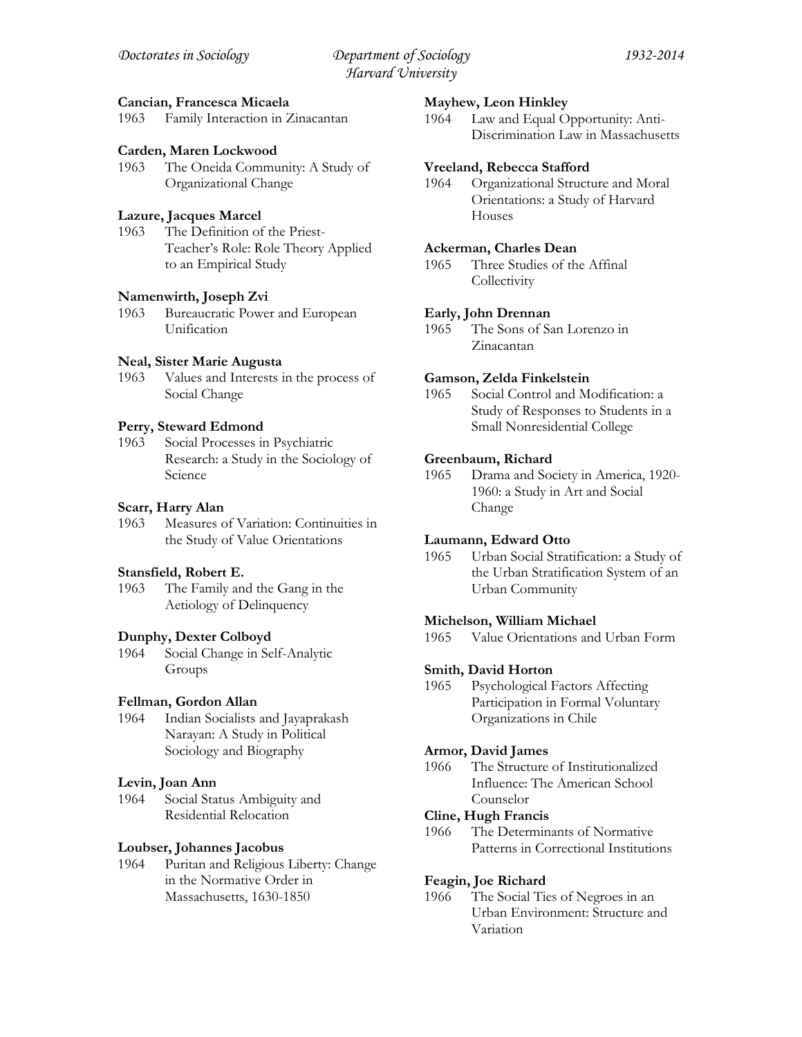### **Cancian, Francesca Micaela**

1963 Family Interaction in Zinacantan

### **Carden, Maren Lockwood**

1963 The Oneida Community: A Study of Organizational Change

### **Lazure, Jacques Marcel**

1963 The Definition of the Priest-Teacher's Role: Role Theory Applied to an Empirical Study

# **Namenwirth, Joseph Zvi**

1963 Bureaucratic Power and European Unification

#### **Neal, Sister Marie Augusta**

1963 Values and Interests in the process of Social Change

#### **Perry, Steward Edmond**

1963 Social Processes in Psychiatric Research: a Study in the Sociology of Science

#### **Scarr, Harry Alan**

1963 Measures of Variation: Continuities in the Study of Value Orientations

#### **Stansfield, Robert E.**

1963 The Family and the Gang in the Aetiology of Delinquency

#### **Dunphy, Dexter Colboyd**

1964 Social Change in Self-Analytic Groups

#### **Fellman, Gordon Allan**

1964 Indian Socialists and Jayaprakash Narayan: A Study in Political Sociology and Biography

#### **Levin, Joan Ann**

1964 Social Status Ambiguity and Residential Relocation

#### **Loubser, Johannes Jacobus**

1964 Puritan and Religious Liberty: Change in the Normative Order in Massachusetts, 1630-1850

#### **Mayhew, Leon Hinkley**

1964 Law and Equal Opportunity: Anti-Discrimination Law in Massachusetts

#### **Vreeland, Rebecca Stafford**

1964 Organizational Structure and Moral Orientations: a Study of Harvard Houses

#### **Ackerman, Charles Dean**

1965 Three Studies of the Affinal **Collectivity** 

### **Early, John Drennan**

1965 The Sons of San Lorenzo in Zinacantan

### **Gamson, Zelda Finkelstein**

1965 Social Control and Modification: a Study of Responses to Students in a Small Nonresidential College

#### **Greenbaum, Richard**

1965 Drama and Society in America, 1920- 1960: a Study in Art and Social Change

### **Laumann, Edward Otto**

1965 Urban Social Stratification: a Study of the Urban Stratification System of an Urban Community

### **Michelson, William Michael**

1965 Value Orientations and Urban Form

#### **Smith, David Horton**

1965 Psychological Factors Affecting Participation in Formal Voluntary Organizations in Chile

#### **Armor, David James**

1966 The Structure of Institutionalized Influence: The American School Counselor

#### **Cline, Hugh Francis**

1966 The Determinants of Normative Patterns in Correctional Institutions

#### **Feagin, Joe Richard**

1966 The Social Ties of Negroes in an Urban Environment: Structure and Variation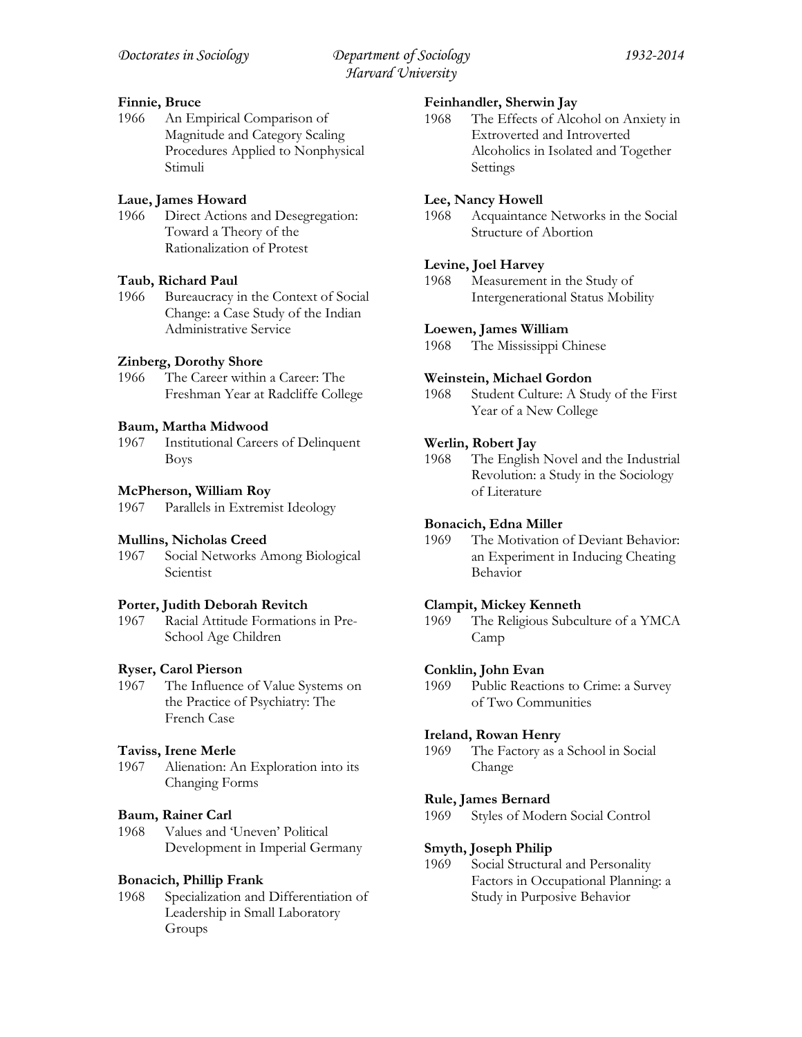# **Finnie, Bruce**

1966 An Empirical Comparison of Magnitude and Category Scaling Procedures Applied to Nonphysical Stimuli

# **Laue, James Howard**

1966 Direct Actions and Desegregation: Toward a Theory of the Rationalization of Protest

# **Taub, Richard Paul**

1966 Bureaucracy in the Context of Social Change: a Case Study of the Indian Administrative Service

# **Zinberg, Dorothy Shore**

1966 The Career within a Career: The Freshman Year at Radcliffe College

# **Baum, Martha Midwood**

1967 Institutional Careers of Delinquent Boys

# **McPherson, William Roy**

1967 Parallels in Extremist Ideology

# **Mullins, Nicholas Creed**

1967 Social Networks Among Biological Scientist

# **Porter, Judith Deborah Revitch**

1967 Racial Attitude Formations in Pre-School Age Children

# **Ryser, Carol Pierson**

1967 The Influence of Value Systems on the Practice of Psychiatry: The French Case

# **Taviss, Irene Merle**

1967 Alienation: An Exploration into its Changing Forms

# **Baum, Rainer Carl**

1968 Values and 'Uneven' Political Development in Imperial Germany

# **Bonacich, Phillip Frank**

1968 Specialization and Differentiation of Leadership in Small Laboratory Groups

# **Feinhandler, Sherwin Jay**

1968 The Effects of Alcohol on Anxiety in Extroverted and Introverted Alcoholics in Isolated and Together Settings

# **Lee, Nancy Howell**

1968 Acquaintance Networks in the Social Structure of Abortion

# **Levine, Joel Harvey**

1968 Measurement in the Study of Intergenerational Status Mobility

# **Loewen, James William**

1968 The Mississippi Chinese

# **Weinstein, Michael Gordon**

1968 Student Culture: A Study of the First Year of a New College

# **Werlin, Robert Jay**

1968 The English Novel and the Industrial Revolution: a Study in the Sociology of Literature

# **Bonacich, Edna Miller**

1969 The Motivation of Deviant Behavior: an Experiment in Inducing Cheating Behavior

# **Clampit, Mickey Kenneth**

1969 The Religious Subculture of a YMCA Camp

# **Conklin, John Evan**

1969 Public Reactions to Crime: a Survey of Two Communities

# **Ireland, Rowan Henry**

1969 The Factory as a School in Social Change

# **Rule, James Bernard**

1969 Styles of Modern Social Control

# **Smyth, Joseph Philip**

1969 Social Structural and Personality Factors in Occupational Planning: a Study in Purposive Behavior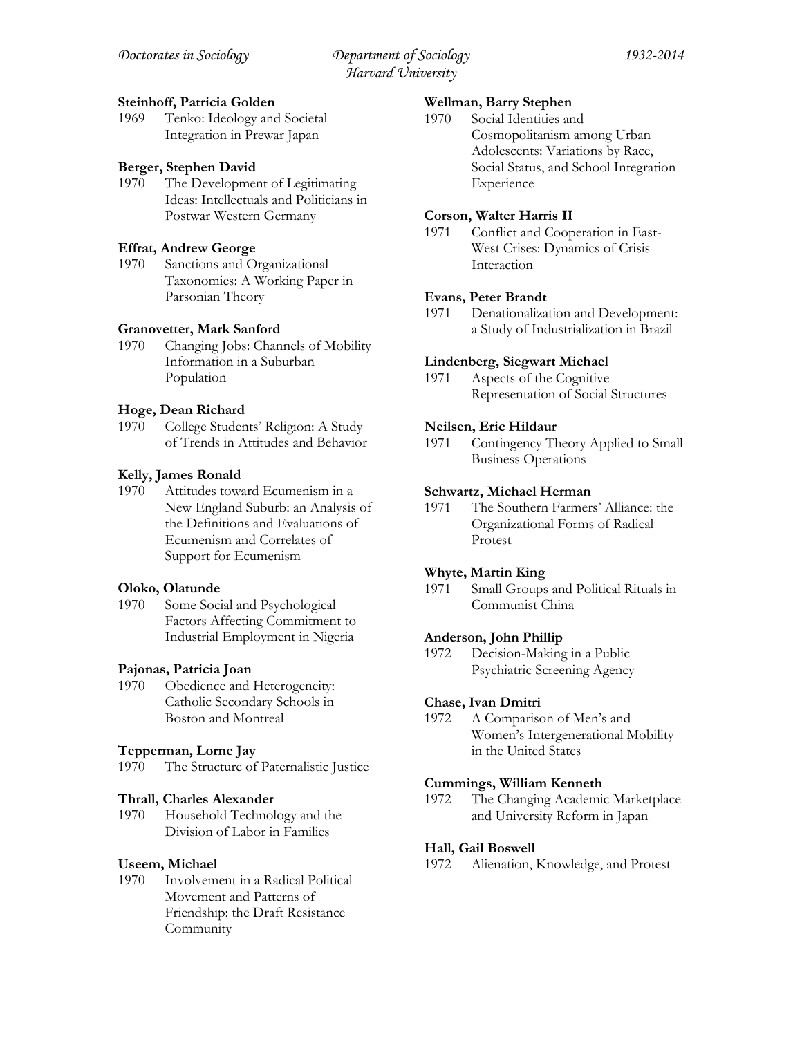### **Steinhoff, Patricia Golden**

1969 Tenko: Ideology and Societal Integration in Prewar Japan

# **Berger, Stephen David**

1970 The Development of Legitimating Ideas: Intellectuals and Politicians in Postwar Western Germany

# **Effrat, Andrew George**

1970 Sanctions and Organizational Taxonomies: A Working Paper in Parsonian Theory

# **Granovetter, Mark Sanford**

1970 Changing Jobs: Channels of Mobility Information in a Suburban Population

# **Hoge, Dean Richard**

1970 College Students' Religion: A Study of Trends in Attitudes and Behavior

# **Kelly, James Ronald**

1970 Attitudes toward Ecumenism in a New England Suburb: an Analysis of the Definitions and Evaluations of Ecumenism and Correlates of Support for Ecumenism

### **Oloko, Olatunde**

1970 Some Social and Psychological Factors Affecting Commitment to Industrial Employment in Nigeria

### **Pajonas, Patricia Joan**

1970 Obedience and Heterogeneity: Catholic Secondary Schools in Boston and Montreal

### **Tepperman, Lorne Jay**

1970 The Structure of Paternalistic Justice

### **Thrall, Charles Alexander**

1970 Household Technology and the Division of Labor in Families

### **Useem, Michael**

1970 Involvement in a Radical Political Movement and Patterns of Friendship: the Draft Resistance Community

### **Wellman, Barry Stephen**

1970 Social Identities and Cosmopolitanism among Urban Adolescents: Variations by Race, Social Status, and School Integration Experience

# **Corson, Walter Harris II**

1971 Conflict and Cooperation in East-West Crises: Dynamics of Crisis Interaction

### **Evans, Peter Brandt**

1971 Denationalization and Development: a Study of Industrialization in Brazil

### **Lindenberg, Siegwart Michael**

1971 Aspects of the Cognitive Representation of Social Structures

### **Neilsen, Eric Hildaur**

1971 Contingency Theory Applied to Small Business Operations

### **Schwartz, Michael Herman**

1971 The Southern Farmers' Alliance: the Organizational Forms of Radical Protest

# **Whyte, Martin King**

1971 Small Groups and Political Rituals in Communist China

### **Anderson, John Phillip**

1972 Decision-Making in a Public Psychiatric Screening Agency

# **Chase, Ivan Dmitri**

1972 A Comparison of Men's and Women's Intergenerational Mobility in the United States

### **Cummings, William Kenneth**

1972 The Changing Academic Marketplace and University Reform in Japan

### **Hall, Gail Boswell**

1972 Alienation, Knowledge, and Protest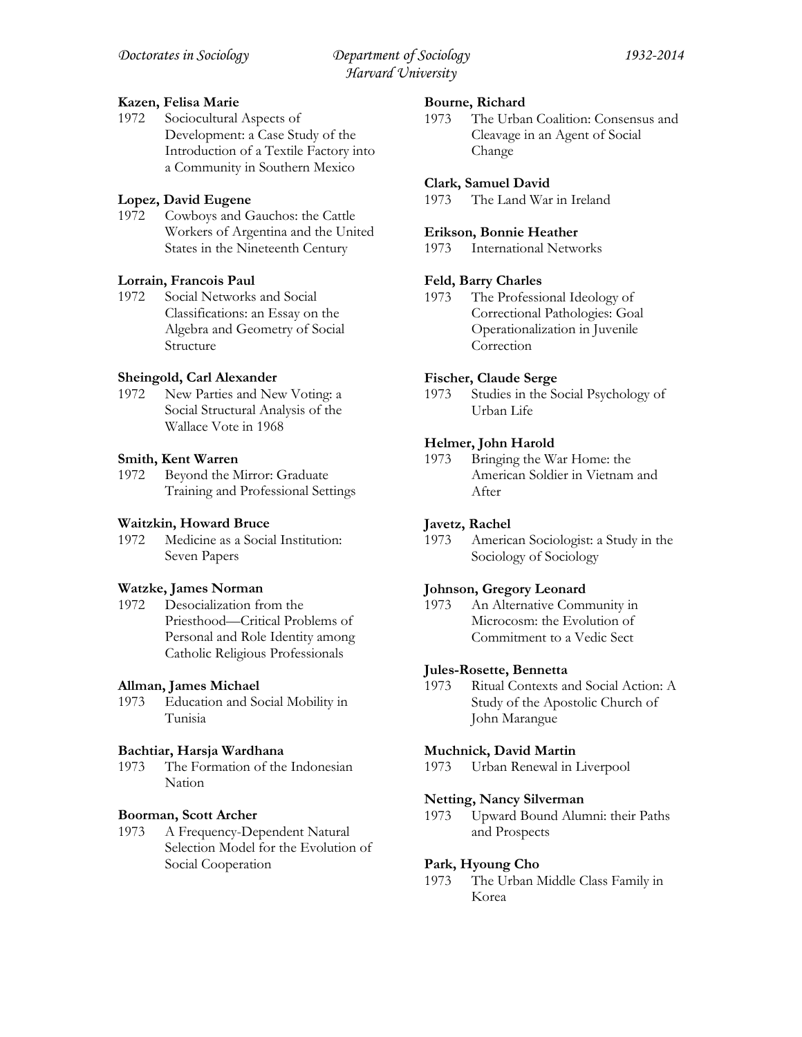# **Kazen, Felisa Marie**

1972 Sociocultural Aspects of Development: a Case Study of the Introduction of a Textile Factory into a Community in Southern Mexico

# **Lopez, David Eugene**

1972 Cowboys and Gauchos: the Cattle Workers of Argentina and the United States in the Nineteenth Century

# **Lorrain, Francois Paul**

1972 Social Networks and Social Classifications: an Essay on the Algebra and Geometry of Social Structure

# **Sheingold, Carl Alexander**

1972 New Parties and New Voting: a Social Structural Analysis of the Wallace Vote in 1968

# **Smith, Kent Warren**

1972 Beyond the Mirror: Graduate Training and Professional Settings

### **Waitzkin, Howard Bruce**

1972 Medicine as a Social Institution: Seven Papers

### **Watzke, James Norman**

1972 Desocialization from the Priesthood—Critical Problems of Personal and Role Identity among Catholic Religious Professionals

### **Allman, James Michael**

1973 Education and Social Mobility in Tunisia

### **Bachtiar, Harsja Wardhana**

1973 The Formation of the Indonesian Nation

### **Boorman, Scott Archer**

1973 A Frequency-Dependent Natural Selection Model for the Evolution of Social Cooperation

# **Bourne, Richard**

1973 The Urban Coalition: Consensus and Cleavage in an Agent of Social Change

### **Clark, Samuel David**

1973 The Land War in Ireland

### **Erikson, Bonnie Heather**

1973 International Networks

# **Feld, Barry Charles**

1973 The Professional Ideology of Correctional Pathologies: Goal Operationalization in Juvenile **Correction** 

# **Fischer, Claude Serge**

1973 Studies in the Social Psychology of Urban Life

# **Helmer, John Harold**

1973 Bringing the War Home: the American Soldier in Vietnam and After

### **Javetz, Rachel**

1973 American Sociologist: a Study in the Sociology of Sociology

# **Johnson, Gregory Leonard**

1973 An Alternative Community in Microcosm: the Evolution of Commitment to a Vedic Sect

### **Jules-Rosette, Bennetta**

1973 Ritual Contexts and Social Action: A Study of the Apostolic Church of John Marangue

### **Muchnick, David Martin**

1973 Urban Renewal in Liverpool

# **Netting, Nancy Silverman**

1973 Upward Bound Alumni: their Paths and Prospects

### **Park, Hyoung Cho**

1973 The Urban Middle Class Family in Korea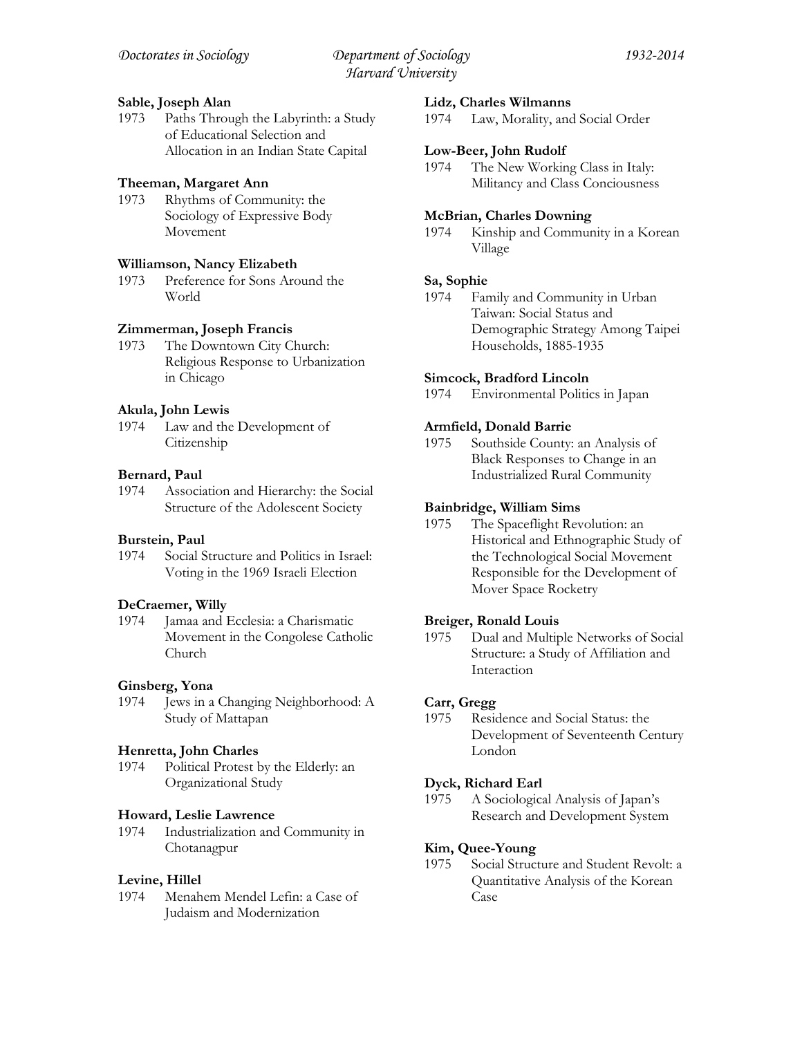# **Sable, Joseph Alan**

1973 Paths Through the Labyrinth: a Study of Educational Selection and Allocation in an Indian State Capital

### **Theeman, Margaret Ann**

1973 Rhythms of Community: the Sociology of Expressive Body Movement

### **Williamson, Nancy Elizabeth**

1973 Preference for Sons Around the World

# **Zimmerman, Joseph Francis**

1973 The Downtown City Church: Religious Response to Urbanization in Chicago

### **Akula, John Lewis**

1974 Law and the Development of Citizenship

### **Bernard, Paul**

1974 Association and Hierarchy: the Social Structure of the Adolescent Society

### **Burstein, Paul**

1974 Social Structure and Politics in Israel: Voting in the 1969 Israeli Election

#### **DeCraemer, Willy**

1974 Jamaa and Ecclesia: a Charismatic Movement in the Congolese Catholic Church

### **Ginsberg, Yona**

1974 Jews in a Changing Neighborhood: A Study of Mattapan

### **Henretta, John Charles**

1974 Political Protest by the Elderly: an Organizational Study

#### **Howard, Leslie Lawrence**

1974 Industrialization and Community in Chotanagpur

#### **Levine, Hillel**

1974 Menahem Mendel Lefin: a Case of Judaism and Modernization

#### **Lidz, Charles Wilmanns**

1974 Law, Morality, and Social Order

### **Low-Beer, John Rudolf**

1974 The New Working Class in Italy: Militancy and Class Conciousness

### **McBrian, Charles Downing**

1974 Kinship and Community in a Korean Village

### **Sa, Sophie**

1974 Family and Community in Urban Taiwan: Social Status and Demographic Strategy Among Taipei Households, 1885-1935

### **Simcock, Bradford Lincoln**

1974 Environmental Politics in Japan

### **Armfield, Donald Barrie**

1975 Southside County: an Analysis of Black Responses to Change in an Industrialized Rural Community

### **Bainbridge, William Sims**

1975 The Spaceflight Revolution: an Historical and Ethnographic Study of the Technological Social Movement Responsible for the Development of Mover Space Rocketry

#### **Breiger, Ronald Louis**

1975 Dual and Multiple Networks of Social Structure: a Study of Affiliation and Interaction

#### **Carr, Gregg**

1975 Residence and Social Status: the Development of Seventeenth Century London

#### **Dyck, Richard Earl**

1975 A Sociological Analysis of Japan's Research and Development System

#### **Kim, Quee-Young**

1975 Social Structure and Student Revolt: a Quantitative Analysis of the Korean Case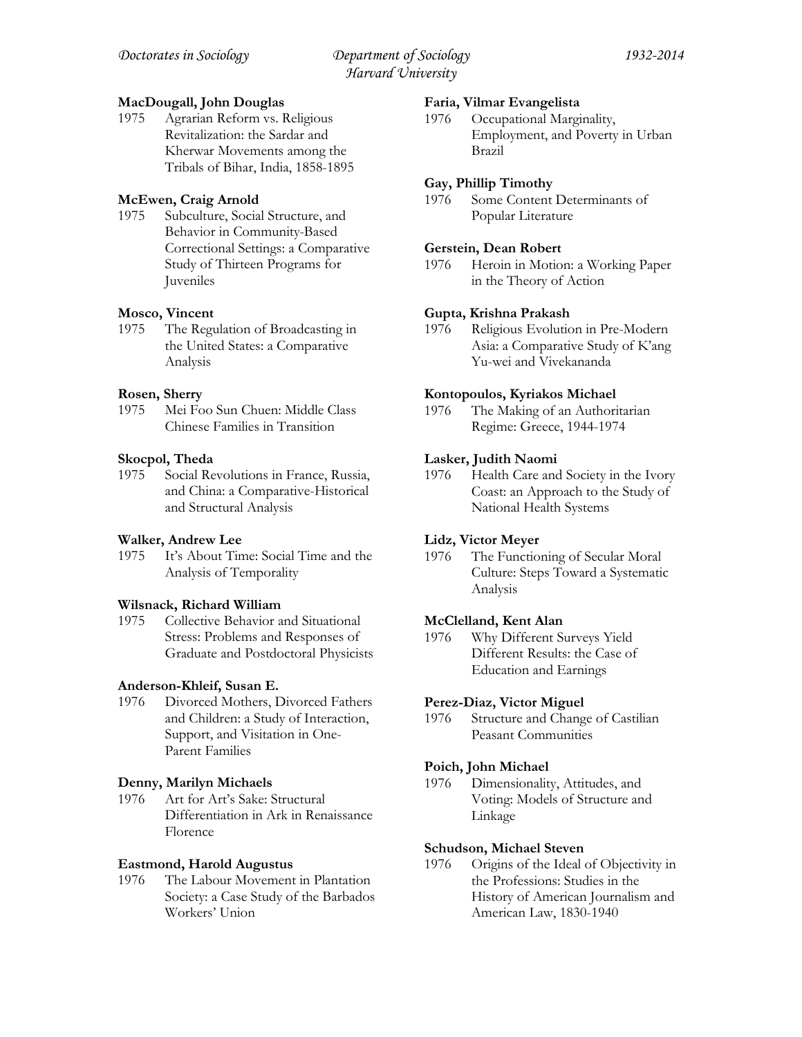# **MacDougall, John Douglas**

1975 Agrarian Reform vs. Religious Revitalization: the Sardar and Kherwar Movements among the Tribals of Bihar, India, 1858-1895

# **McEwen, Craig Arnold**

1975 Subculture, Social Structure, and Behavior in Community-Based Correctional Settings: a Comparative Study of Thirteen Programs for Juveniles

# **Mosco, Vincent**

1975 The Regulation of Broadcasting in the United States: a Comparative Analysis

# **Rosen, Sherry**

1975 Mei Foo Sun Chuen: Middle Class Chinese Families in Transition

# **Skocpol, Theda**

1975 Social Revolutions in France, Russia, and China: a Comparative-Historical and Structural Analysis

# **Walker, Andrew Lee**

1975 It's About Time: Social Time and the Analysis of Temporality

# **Wilsnack, Richard William**

1975 Collective Behavior and Situational Stress: Problems and Responses of Graduate and Postdoctoral Physicists

# **Anderson-Khleif, Susan E.**

1976 Divorced Mothers, Divorced Fathers and Children: a Study of Interaction, Support, and Visitation in One-Parent Families

# **Denny, Marilyn Michaels**

1976 Art for Art's Sake: Structural Differentiation in Ark in Renaissance Florence

# **Eastmond, Harold Augustus**

1976 The Labour Movement in Plantation Society: a Case Study of the Barbados Workers' Union

# **Faria, Vilmar Evangelista**

1976 Occupational Marginality, Employment, and Poverty in Urban Brazil

# **Gay, Phillip Timothy**

1976 Some Content Determinants of Popular Literature

# **Gerstein, Dean Robert**

1976 Heroin in Motion: a Working Paper in the Theory of Action

# **Gupta, Krishna Prakash**

1976 Religious Evolution in Pre-Modern Asia: a Comparative Study of K'ang Yu-wei and Vivekananda

# **Kontopoulos, Kyriakos Michael**

1976 The Making of an Authoritarian Regime: Greece, 1944-1974

# **Lasker, Judith Naomi**

1976 Health Care and Society in the Ivory Coast: an Approach to the Study of National Health Systems

# **Lidz, Victor Meyer**

1976 The Functioning of Secular Moral Culture: Steps Toward a Systematic Analysis

# **McClelland, Kent Alan**

1976 Why Different Surveys Yield Different Results: the Case of Education and Earnings

# **Perez-Diaz, Victor Miguel**

1976 Structure and Change of Castilian Peasant Communities

# **Poich, John Michael**

1976 Dimensionality, Attitudes, and Voting: Models of Structure and Linkage

# **Schudson, Michael Steven**

1976 Origins of the Ideal of Objectivity in the Professions: Studies in the History of American Journalism and American Law, 1830-1940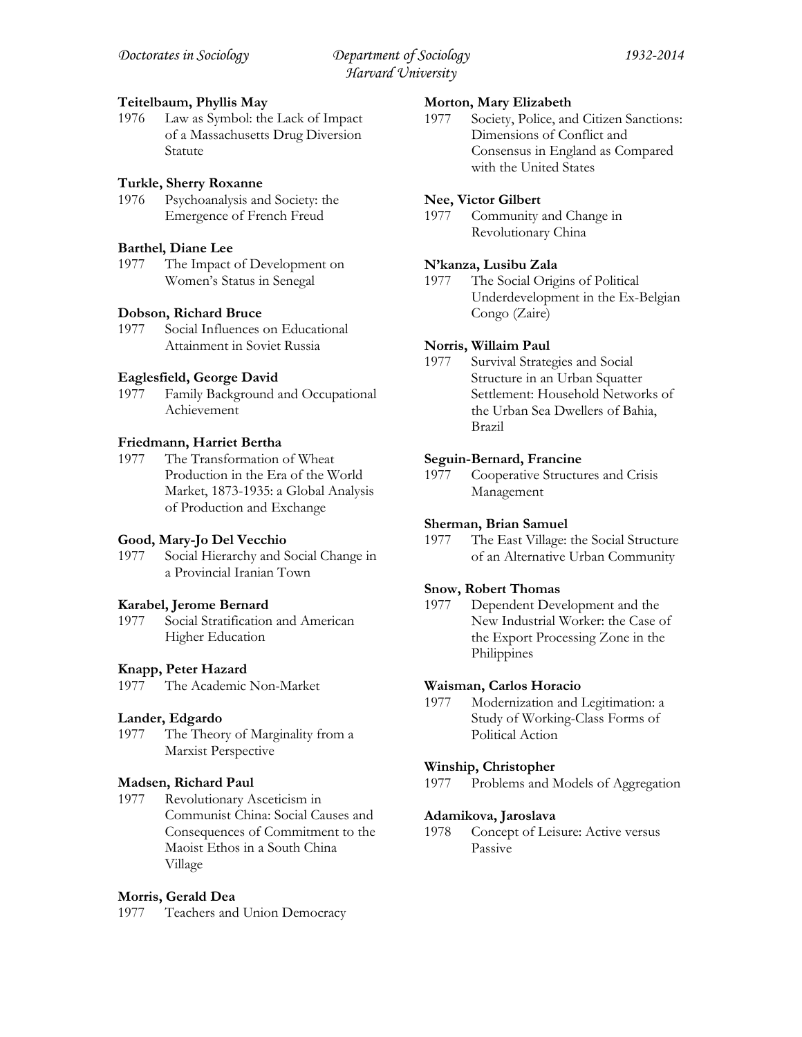### **Teitelbaum, Phyllis May**

1976 Law as Symbol: the Lack of Impact of a Massachusetts Drug Diversion Statute

# **Turkle, Sherry Roxanne**

1976 Psychoanalysis and Society: the Emergence of French Freud

# **Barthel, Diane Lee**

1977 The Impact of Development on Women's Status in Senegal

# **Dobson, Richard Bruce**

1977 Social Influences on Educational Attainment in Soviet Russia

# **Eaglesfield, George David**

1977 Family Background and Occupational Achievement

# **Friedmann, Harriet Bertha**

1977 The Transformation of Wheat Production in the Era of the World Market, 1873-1935: a Global Analysis of Production and Exchange

# **Good, Mary-Jo Del Vecchio**

1977 Social Hierarchy and Social Change in a Provincial Iranian Town

# **Karabel, Jerome Bernard**

1977 Social Stratification and American Higher Education

### **Knapp, Peter Hazard**

1977 The Academic Non-Market

### **Lander, Edgardo**

1977 The Theory of Marginality from a Marxist Perspective

# **Madsen, Richard Paul**

1977 Revolutionary Asceticism in Communist China: Social Causes and Consequences of Commitment to the Maoist Ethos in a South China Village

# **Morris, Gerald Dea**

1977 Teachers and Union Democracy

### **Morton, Mary Elizabeth**

1977 Society, Police, and Citizen Sanctions: Dimensions of Conflict and Consensus in England as Compared with the United States

# **Nee, Victor Gilbert**

1977 Community and Change in Revolutionary China

# **N'kanza, Lusibu Zala**

1977 The Social Origins of Political Underdevelopment in the Ex-Belgian Congo (Zaire)

# **Norris, Willaim Paul**

1977 Survival Strategies and Social Structure in an Urban Squatter Settlement: Household Networks of the Urban Sea Dwellers of Bahia, Brazil

### **Seguin-Bernard, Francine**

1977 Cooperative Structures and Crisis Management

### **Sherman, Brian Samuel**

1977 The East Village: the Social Structure of an Alternative Urban Community

### **Snow, Robert Thomas**

1977 Dependent Development and the New Industrial Worker: the Case of the Export Processing Zone in the Philippines

### **Waisman, Carlos Horacio**

1977 Modernization and Legitimation: a Study of Working-Class Forms of Political Action

### **Winship, Christopher**

1977 Problems and Models of Aggregation

### **Adamikova, Jaroslava**

1978 Concept of Leisure: Active versus Passive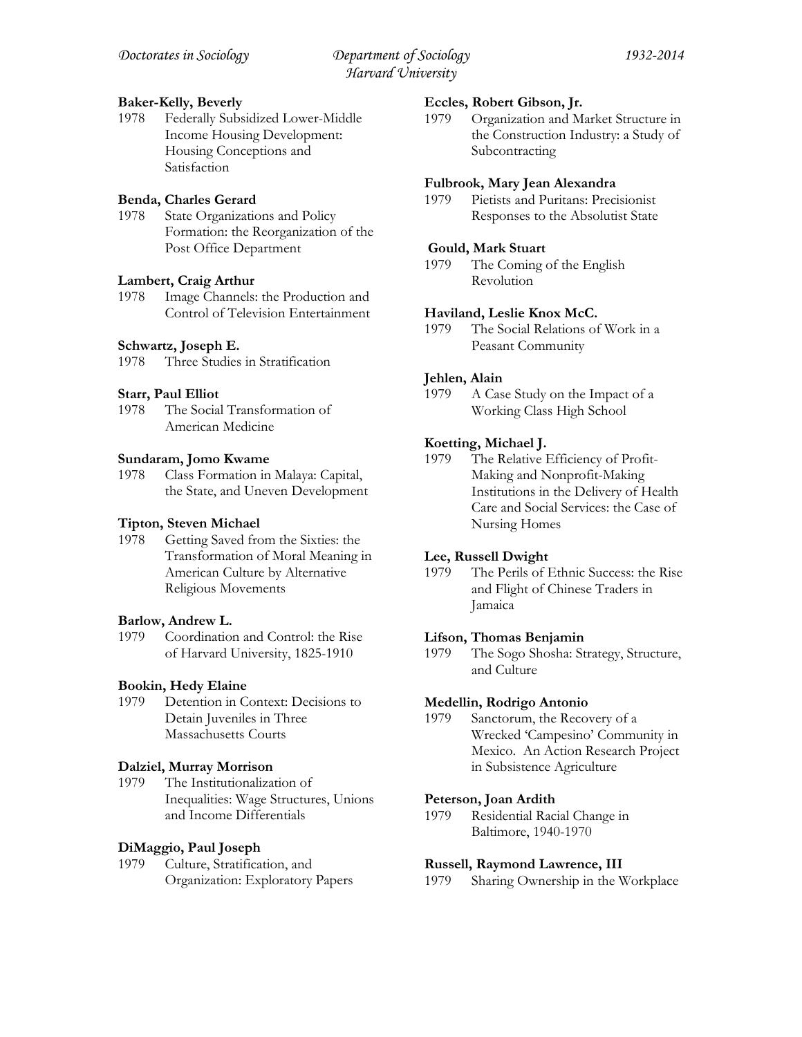### **Baker-Kelly, Beverly**

1978 Federally Subsidized Lower-Middle Income Housing Development: Housing Conceptions and Satisfaction

# **Benda, Charles Gerard**

1978 State Organizations and Policy Formation: the Reorganization of the Post Office Department

# **Lambert, Craig Arthur**

1978 Image Channels: the Production and Control of Television Entertainment

# **Schwartz, Joseph E.**

1978 Three Studies in Stratification

# **Starr, Paul Elliot**

The Social Transformation of American Medicine

### **Sundaram, Jomo Kwame**

1978 Class Formation in Malaya: Capital, the State, and Uneven Development

### **Tipton, Steven Michael**

1978 Getting Saved from the Sixties: the Transformation of Moral Meaning in American Culture by Alternative Religious Movements

### **Barlow, Andrew L.**

1979 Coordination and Control: the Rise of Harvard University, 1825-1910

### **Bookin, Hedy Elaine**

1979 Detention in Context: Decisions to Detain Juveniles in Three Massachusetts Courts

### **Dalziel, Murray Morrison**

1979 The Institutionalization of Inequalities: Wage Structures, Unions and Income Differentials

# **DiMaggio, Paul Joseph**

1979 Culture, Stratification, and Organization: Exploratory Papers

### **Eccles, Robert Gibson, Jr.**

1979 Organization and Market Structure in the Construction Industry: a Study of Subcontracting

### **Fulbrook, Mary Jean Alexandra**

1979 Pietists and Puritans: Precisionist Responses to the Absolutist State

### **Gould, Mark Stuart**

1979 The Coming of the English Revolution

### **Haviland, Leslie Knox McC.**

1979 The Social Relations of Work in a Peasant Community

# **Jehlen, Alain**

1979 A Case Study on the Impact of a Working Class High School

# **Koetting, Michael J.**

1979 The Relative Efficiency of Profit-Making and Nonprofit-Making Institutions in the Delivery of Health Care and Social Services: the Case of Nursing Homes

### **Lee, Russell Dwight**

1979 The Perils of Ethnic Success: the Rise and Flight of Chinese Traders in Jamaica

### **Lifson, Thomas Benjamin**

1979 The Sogo Shosha: Strategy, Structure, and Culture

### **Medellin, Rodrigo Antonio**

1979 Sanctorum, the Recovery of a Wrecked 'Campesino' Community in Mexico. An Action Research Project in Subsistence Agriculture

### **Peterson, Joan Ardith**

1979 Residential Racial Change in Baltimore, 1940-1970

### **Russell, Raymond Lawrence, III**

1979 Sharing Ownership in the Workplace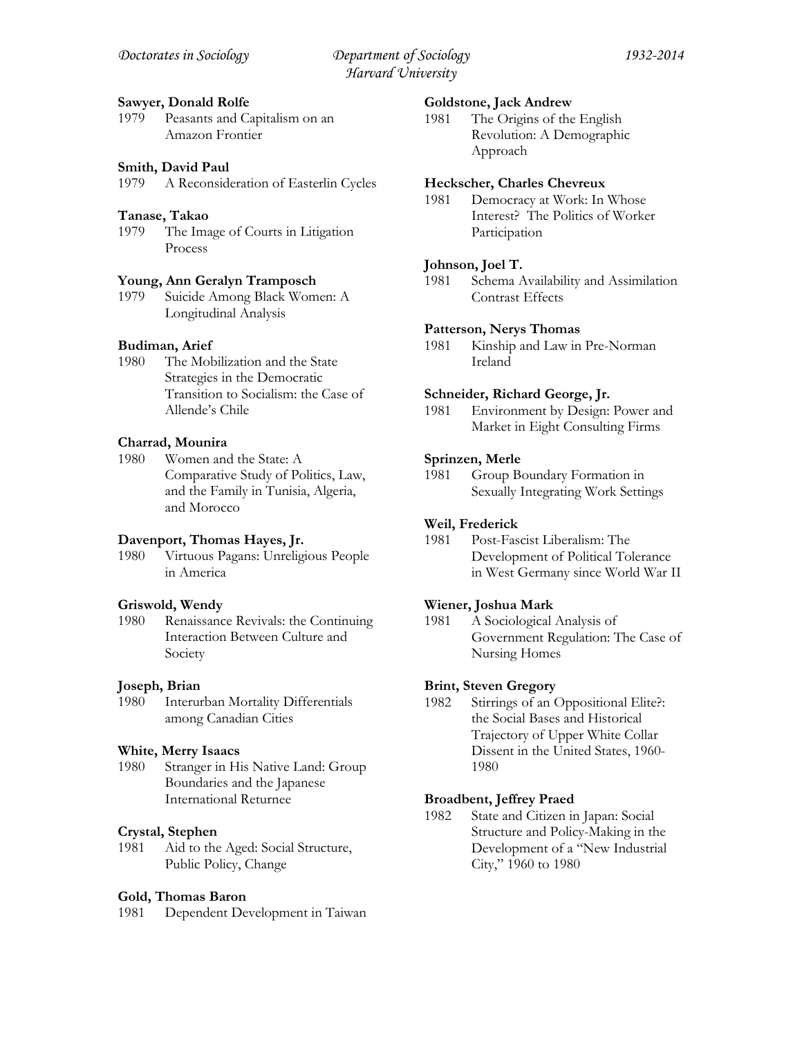### **Sawyer, Donald Rolfe**

1979 Peasants and Capitalism on an Amazon Frontier

### **Smith, David Paul**

1979 A Reconsideration of Easterlin Cycles

### **Tanase, Takao**

1979 The Image of Courts in Litigation Process

### **Young, Ann Geralyn Tramposch**

1979 Suicide Among Black Women: A Longitudinal Analysis

### **Budiman, Arief**

1980 The Mobilization and the State Strategies in the Democratic Transition to Socialism: the Case of Allende's Chile

### **Charrad, Mounira**

1980 Women and the State: A Comparative Study of Politics, Law, and the Family in Tunisia, Algeria, and Morocco

#### **Davenport, Thomas Hayes, Jr.**

1980 Virtuous Pagans: Unreligious People in America

#### **Griswold, Wendy**

1980 Renaissance Revivals: the Continuing Interaction Between Culture and Society

#### **Joseph, Brian**

1980 Interurban Mortality Differentials among Canadian Cities

#### **White, Merry Isaacs**

1980 Stranger in His Native Land: Group Boundaries and the Japanese International Returnee

#### **Crystal, Stephen**

1981 Aid to the Aged: Social Structure, Public Policy, Change

#### **Gold, Thomas Baron**

1981 Dependent Development in Taiwan

#### **Goldstone, Jack Andrew**

1981 The Origins of the English Revolution: A Demographic Approach

#### **Heckscher, Charles Chevreux**

1981 Democracy at Work: In Whose Interest? The Politics of Worker Participation

#### **Johnson, Joel T.**

1981 Schema Availability and Assimilation Contrast Effects

### **Patterson, Nerys Thomas**

1981 Kinship and Law in Pre-Norman Ireland

#### **Schneider, Richard George, Jr.**

1981 Environment by Design: Power and Market in Eight Consulting Firms

#### **Sprinzen, Merle**

1981 Group Boundary Formation in Sexually Integrating Work Settings

#### **Weil, Frederick**

1981 Post-Fascist Liberalism: The Development of Political Tolerance in West Germany since World War II

### **Wiener, Joshua Mark**

1981 A Sociological Analysis of Government Regulation: The Case of Nursing Homes

# **Brint, Steven Gregory**

1982 Stirrings of an Oppositional Elite?: the Social Bases and Historical Trajectory of Upper White Collar Dissent in the United States, 1960- 1980

#### **Broadbent, Jeffrey Praed**

1982 State and Citizen in Japan: Social Structure and Policy-Making in the Development of a "New Industrial City," 1960 to 1980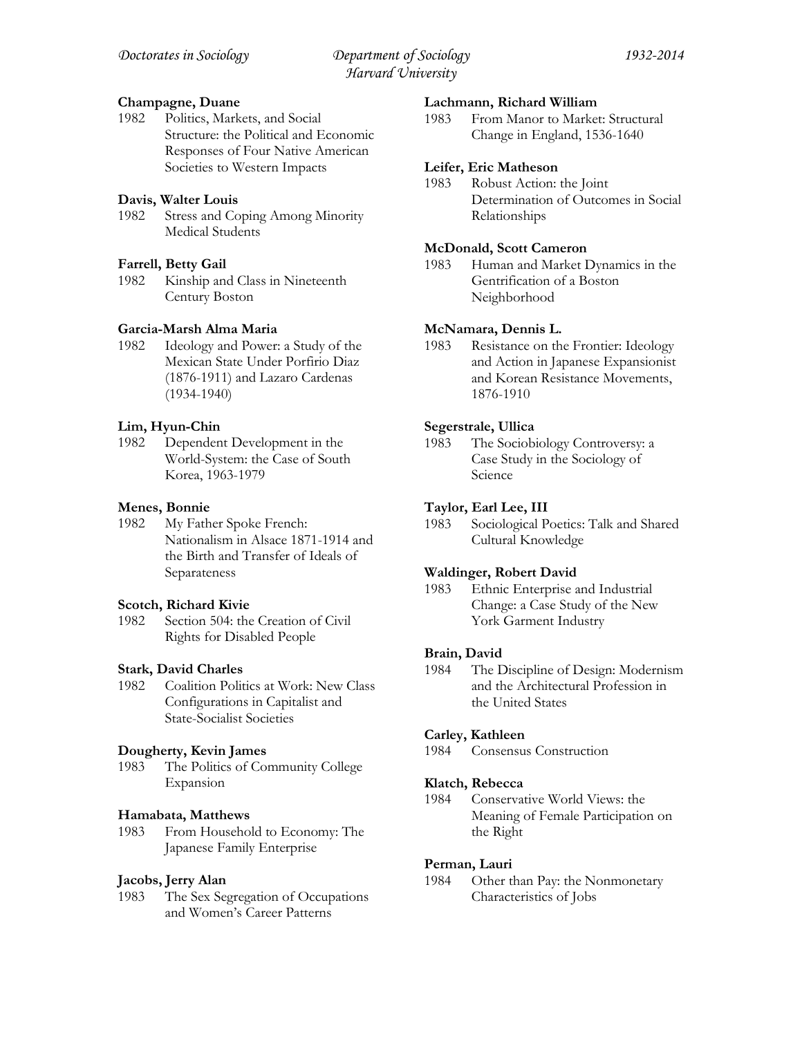# **Champagne, Duane**

1982 Politics, Markets, and Social Structure: the Political and Economic Responses of Four Native American Societies to Western Impacts

# **Davis, Walter Louis**

1982 Stress and Coping Among Minority Medical Students

# **Farrell, Betty Gail**

1982 Kinship and Class in Nineteenth Century Boston

# **Garcia-Marsh Alma Maria**

1982 Ideology and Power: a Study of the Mexican State Under Porfirio Diaz (1876-1911) and Lazaro Cardenas (1934-1940)

# **Lim, Hyun-Chin**

1982 Dependent Development in the World-System: the Case of South Korea, 1963-1979

# **Menes, Bonnie**

1982 My Father Spoke French: Nationalism in Alsace 1871-1914 and the Birth and Transfer of Ideals of Separateness

### **Scotch, Richard Kivie**

1982 Section 504: the Creation of Civil Rights for Disabled People

# **Stark, David Charles**

1982 Coalition Politics at Work: New Class Configurations in Capitalist and State-Socialist Societies

### **Dougherty, Kevin James**

1983 The Politics of Community College Expansion

### **Hamabata, Matthews**

1983 From Household to Economy: The Japanese Family Enterprise

### **Jacobs, Jerry Alan**

1983 The Sex Segregation of Occupations and Women's Career Patterns

### **Lachmann, Richard William**

1983 From Manor to Market: Structural Change in England, 1536-1640

### **Leifer, Eric Matheson**

1983 Robust Action: the Joint Determination of Outcomes in Social Relationships

### **McDonald, Scott Cameron**

1983 Human and Market Dynamics in the Gentrification of a Boston Neighborhood

### **McNamara, Dennis L.**

1983 Resistance on the Frontier: Ideology and Action in Japanese Expansionist and Korean Resistance Movements, 1876-1910

# **Segerstrale, Ullica**

1983 The Sociobiology Controversy: a Case Study in the Sociology of Science

# **Taylor, Earl Lee, III**

1983 Sociological Poetics: Talk and Shared Cultural Knowledge

### **Waldinger, Robert David**

1983 Ethnic Enterprise and Industrial Change: a Case Study of the New York Garment Industry

### **Brain, David**

1984 The Discipline of Design: Modernism and the Architectural Profession in the United States

### **Carley, Kathleen**

1984 Consensus Construction

### **Klatch, Rebecca**

1984 Conservative World Views: the Meaning of Female Participation on the Right

### **Perman, Lauri**

1984 Other than Pay: the Nonmonetary Characteristics of Jobs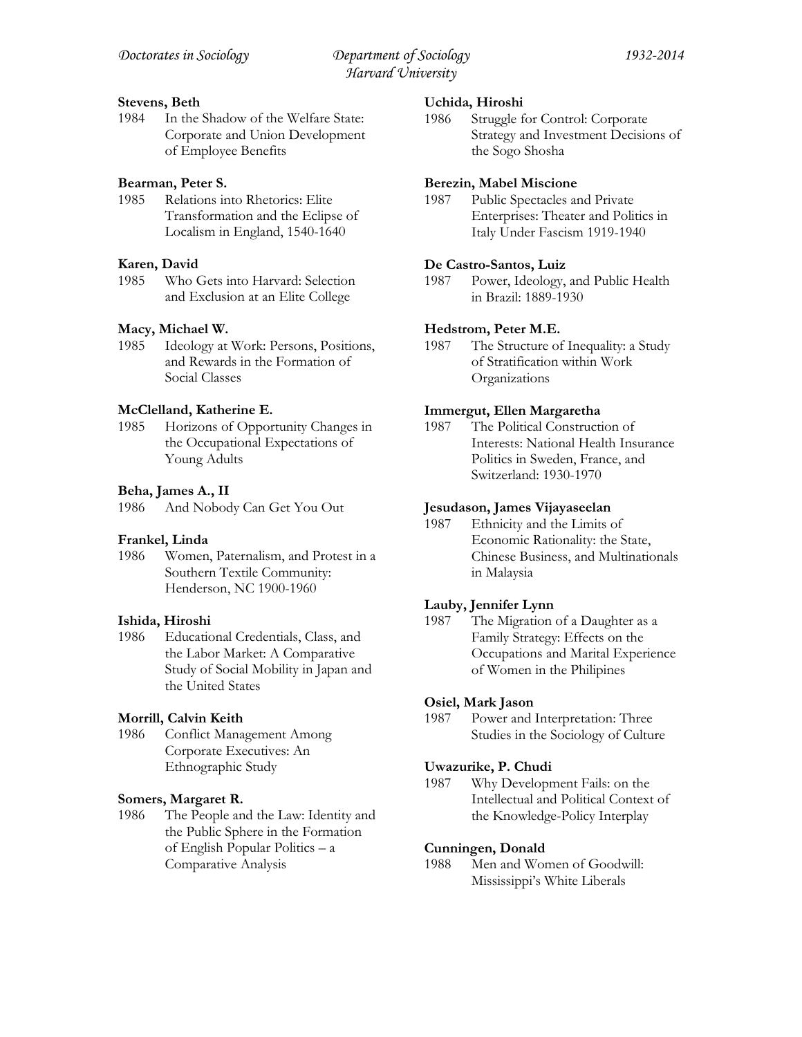### **Stevens, Beth**

1984 In the Shadow of the Welfare State: Corporate and Union Development of Employee Benefits

### **Bearman, Peter S.**

1985 Relations into Rhetorics: Elite Transformation and the Eclipse of Localism in England, 1540-1640

### **Karen, David**

1985 Who Gets into Harvard: Selection and Exclusion at an Elite College

### **Macy, Michael W.**

1985 Ideology at Work: Persons, Positions, and Rewards in the Formation of Social Classes

# **McClelland, Katherine E.**

1985 Horizons of Opportunity Changes in the Occupational Expectations of Young Adults

### **Beha, James A., II**

1986 And Nobody Can Get You Out

### **Frankel, Linda**

1986 Women, Paternalism, and Protest in a Southern Textile Community: Henderson, NC 1900-1960

### **Ishida, Hiroshi**

1986 Educational Credentials, Class, and the Labor Market: A Comparative Study of Social Mobility in Japan and the United States

### **Morrill, Calvin Keith**

1986 Conflict Management Among Corporate Executives: An Ethnographic Study

### **Somers, Margaret R.**

1986 The People and the Law: Identity and the Public Sphere in the Formation of English Popular Politics – a Comparative Analysis

### **Uchida, Hiroshi**

1986 Struggle for Control: Corporate Strategy and Investment Decisions of the Sogo Shosha

### **Berezin, Mabel Miscione**

1987 Public Spectacles and Private Enterprises: Theater and Politics in Italy Under Fascism 1919-1940

### **De Castro-Santos, Luiz**

1987 Power, Ideology, and Public Health in Brazil: 1889-1930

### **Hedstrom, Peter M.E.**

1987 The Structure of Inequality: a Study of Stratification within Work Organizations

### **Immergut, Ellen Margaretha**

1987 The Political Construction of Interests: National Health Insurance Politics in Sweden, France, and Switzerland: 1930-1970

### **Jesudason, James Vijayaseelan**

1987 Ethnicity and the Limits of Economic Rationality: the State, Chinese Business, and Multinationals in Malaysia

### **Lauby, Jennifer Lynn**

1987 The Migration of a Daughter as a Family Strategy: Effects on the Occupations and Marital Experience of Women in the Philipines

### **Osiel, Mark Jason**

1987 Power and Interpretation: Three Studies in the Sociology of Culture

### **Uwazurike, P. Chudi**

1987 Why Development Fails: on the Intellectual and Political Context of the Knowledge-Policy Interplay

### **Cunningen, Donald**

1988 Men and Women of Goodwill: Mississippi's White Liberals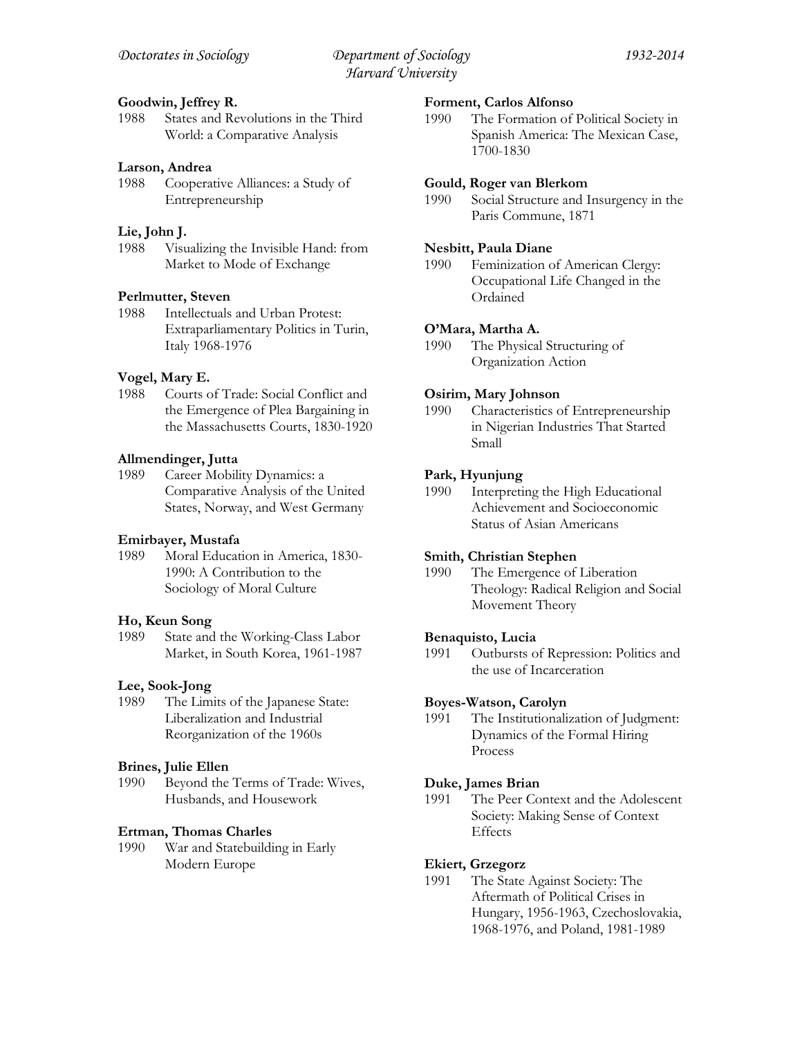# **Goodwin, Jeffrey R.**

1988 States and Revolutions in the Third World: a Comparative Analysis

# **Larson, Andrea**

1988 Cooperative Alliances: a Study of Entrepreneurship

### **Lie, John J.**

1988 Visualizing the Invisible Hand: from Market to Mode of Exchange

### **Perlmutter, Steven**

1988 Intellectuals and Urban Protest: Extraparliamentary Politics in Turin, Italy 1968-1976

# **Vogel, Mary E.**

1988 Courts of Trade: Social Conflict and the Emergence of Plea Bargaining in the Massachusetts Courts, 1830-1920

# **Allmendinger, Jutta**

1989 Career Mobility Dynamics: a Comparative Analysis of the United States, Norway, and West Germany

### **Emirbayer, Mustafa**

1989 Moral Education in America, 1830- 1990: A Contribution to the Sociology of Moral Culture

### **Ho, Keun Song**

1989 State and the Working-Class Labor Market, in South Korea, 1961-1987

### **Lee, Sook-Jong**

1989 The Limits of the Japanese State: Liberalization and Industrial Reorganization of the 1960s

### **Brines, Julie Ellen**

1990 Beyond the Terms of Trade: Wives, Husbands, and Housework

### **Ertman, Thomas Charles**

1990 War and Statebuilding in Early Modern Europe

### **Forment, Carlos Alfonso**

1990 The Formation of Political Society in Spanish America: The Mexican Case, 1700-1830

### **Gould, Roger van Blerkom**

1990 Social Structure and Insurgency in the Paris Commune, 1871

### **Nesbitt, Paula Diane**

1990 Feminization of American Clergy: Occupational Life Changed in the Ordained

### **O'Mara, Martha A.**

1990 The Physical Structuring of Organization Action

### **Osirim, Mary Johnson**

1990 Characteristics of Entrepreneurship in Nigerian Industries That Started Small

### **Park, Hyunjung**

1990 Interpreting the High Educational Achievement and Socioeconomic Status of Asian Americans

### **Smith, Christian Stephen**

1990 The Emergence of Liberation Theology: Radical Religion and Social Movement Theory

### **Benaquisto, Lucia**

1991 Outbursts of Repression: Politics and the use of Incarceration

### **Boyes-Watson, Carolyn**

1991 The Institutionalization of Judgment: Dynamics of the Formal Hiring Process

### **Duke, James Brian**

1991 The Peer Context and the Adolescent Society: Making Sense of Context Effects

### **Ekiert, Grzegorz**

1991 The State Against Society: The Aftermath of Political Crises in Hungary, 1956-1963, Czechoslovakia, 1968-1976, and Poland, 1981-1989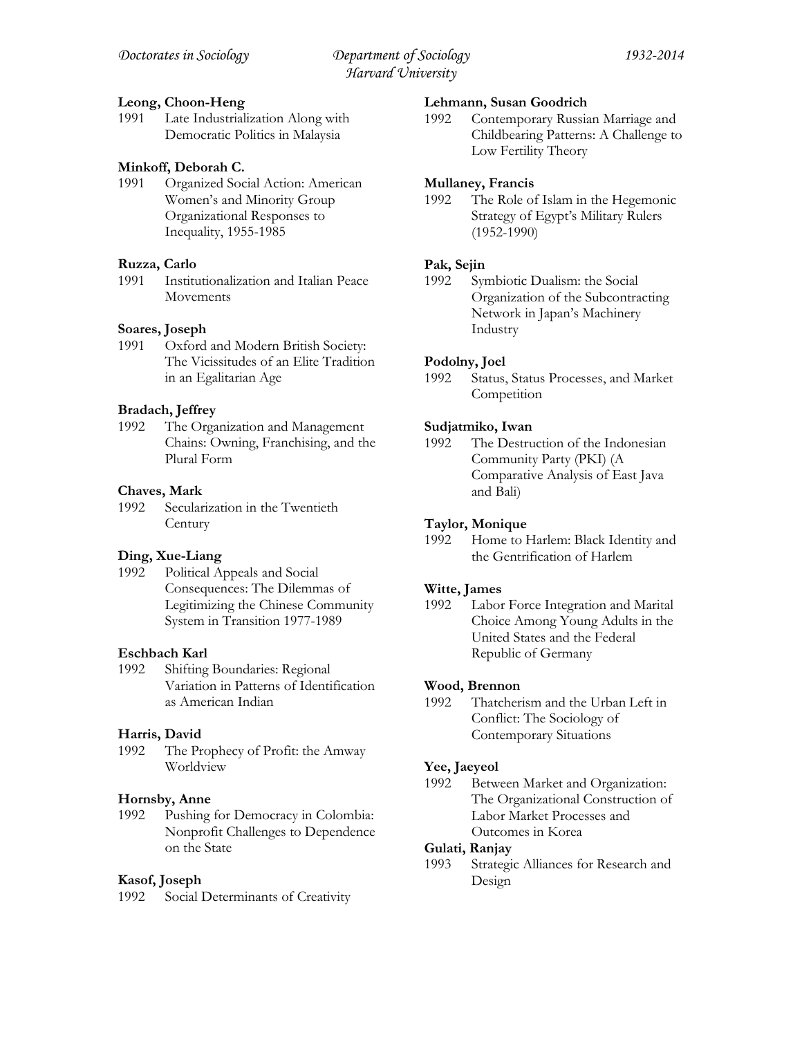### **Leong, Choon-Heng**

1991 Late Industrialization Along with Democratic Politics in Malaysia

### **Minkoff, Deborah C.**

1991 Organized Social Action: American Women's and Minority Group Organizational Responses to Inequality, 1955-1985

### **Ruzza, Carlo**

1991 Institutionalization and Italian Peace Movements

### **Soares, Joseph**

1991 Oxford and Modern British Society: The Vicissitudes of an Elite Tradition in an Egalitarian Age

### **Bradach, Jeffrey**

1992 The Organization and Management Chains: Owning, Franchising, and the Plural Form

### **Chaves, Mark**

1992 Secularization in the Twentieth **Century** 

### **Ding, Xue-Liang**

1992 Political Appeals and Social Consequences: The Dilemmas of Legitimizing the Chinese Community System in Transition 1977-1989

#### **Eschbach Karl**

1992 Shifting Boundaries: Regional Variation in Patterns of Identification as American Indian

### **Harris, David**

1992 The Prophecy of Profit: the Amway Worldview

#### **Hornsby, Anne**

1992 Pushing for Democracy in Colombia: Nonprofit Challenges to Dependence on the State

#### **Kasof, Joseph**

1992 Social Determinants of Creativity

### **Lehmann, Susan Goodrich**

1992 Contemporary Russian Marriage and Childbearing Patterns: A Challenge to Low Fertility Theory

### **Mullaney, Francis**

1992 The Role of Islam in the Hegemonic Strategy of Egypt's Military Rulers (1952-1990)

### **Pak, Sejin**

1992 Symbiotic Dualism: the Social Organization of the Subcontracting Network in Japan's Machinery Industry

### **Podolny, Joel**

1992 Status, Status Processes, and Market **Competition** 

### **Sudjatmiko, Iwan**

1992 The Destruction of the Indonesian Community Party (PKI) (A Comparative Analysis of East Java and Bali)

#### **Taylor, Monique**

1992 Home to Harlem: Black Identity and the Gentrification of Harlem

### **Witte, James**

1992 Labor Force Integration and Marital Choice Among Young Adults in the United States and the Federal Republic of Germany

### **Wood, Brennon**

1992 Thatcherism and the Urban Left in Conflict: The Sociology of Contemporary Situations

### **Yee, Jaeyeol**

1992 Between Market and Organization: The Organizational Construction of Labor Market Processes and Outcomes in Korea

### **Gulati, Ranjay**

1993 Strategic Alliances for Research and Design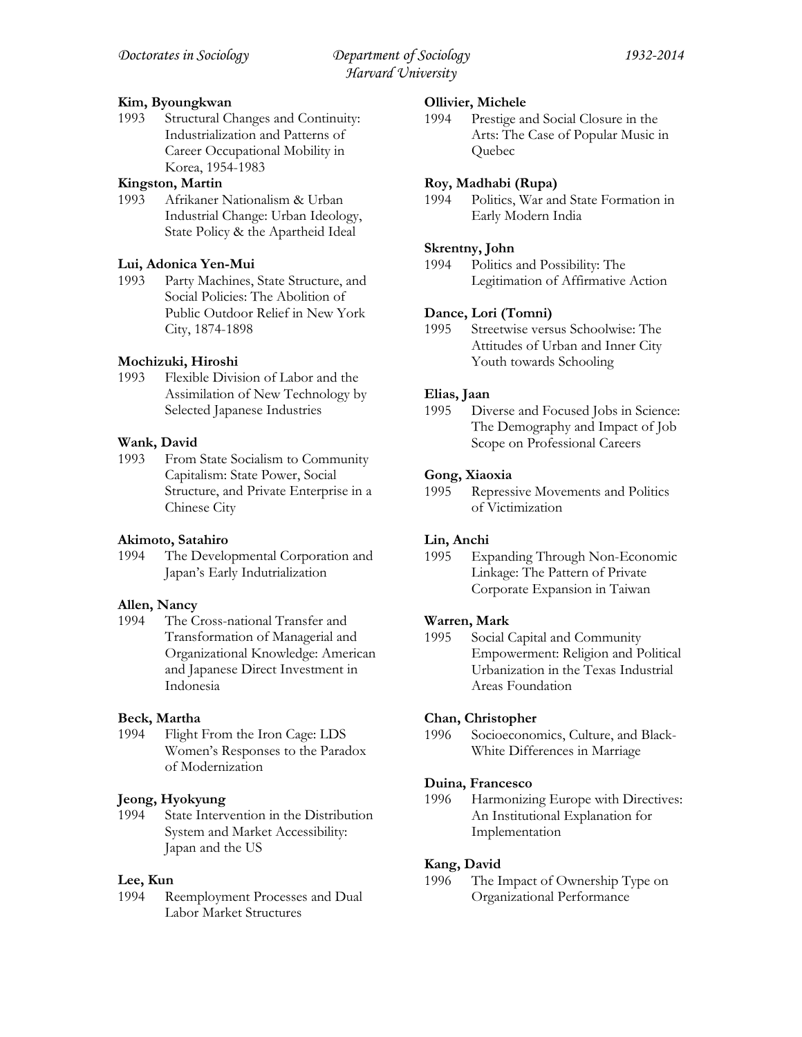# **Kim, Byoungkwan**

1993 Structural Changes and Continuity: Industrialization and Patterns of Career Occupational Mobility in Korea, 1954-1983

### **Kingston, Martin**

1993 Afrikaner Nationalism & Urban Industrial Change: Urban Ideology, State Policy & the Apartheid Ideal

# **Lui, Adonica Yen-Mui**

1993 Party Machines, State Structure, and Social Policies: The Abolition of Public Outdoor Relief in New York City, 1874-1898

# **Mochizuki, Hiroshi**

1993 Flexible Division of Labor and the Assimilation of New Technology by Selected Japanese Industries

# **Wank, David**

1993 From State Socialism to Community Capitalism: State Power, Social Structure, and Private Enterprise in a Chinese City

# **Akimoto, Satahiro**

1994 The Developmental Corporation and Japan's Early Indutrialization

# **Allen, Nancy**

1994 The Cross-national Transfer and Transformation of Managerial and Organizational Knowledge: American and Japanese Direct Investment in Indonesia

# **Beck, Martha**

1994 Flight From the Iron Cage: LDS Women's Responses to the Paradox of Modernization

# **Jeong, Hyokyung**

1994 State Intervention in the Distribution System and Market Accessibility: Japan and the US

# **Lee, Kun**

1994 Reemployment Processes and Dual Labor Market Structures

### **Ollivier, Michele**

1994 Prestige and Social Closure in the Arts: The Case of Popular Music in Quebec

# **Roy, Madhabi (Rupa)**

1994 Politics, War and State Formation in Early Modern India

### **Skrentny, John**

1994 Politics and Possibility: The Legitimation of Affirmative Action

# **Dance, Lori (Tomni)**

1995 Streetwise versus Schoolwise: The Attitudes of Urban and Inner City Youth towards Schooling

# **Elias, Jaan**

1995 Diverse and Focused Jobs in Science: The Demography and Impact of Job Scope on Professional Careers

# **Gong, Xiaoxia**

1995 Repressive Movements and Politics of Victimization

### **Lin, Anchi**

1995 Expanding Through Non-Economic Linkage: The Pattern of Private Corporate Expansion in Taiwan

### **Warren, Mark**

1995 Social Capital and Community Empowerment: Religion and Political Urbanization in the Texas Industrial Areas Foundation

### **Chan, Christopher**

1996 Socioeconomics, Culture, and Black-White Differences in Marriage

### **Duina, Francesco**

1996 Harmonizing Europe with Directives: An Institutional Explanation for Implementation

# **Kang, David**

1996 The Impact of Ownership Type on Organizational Performance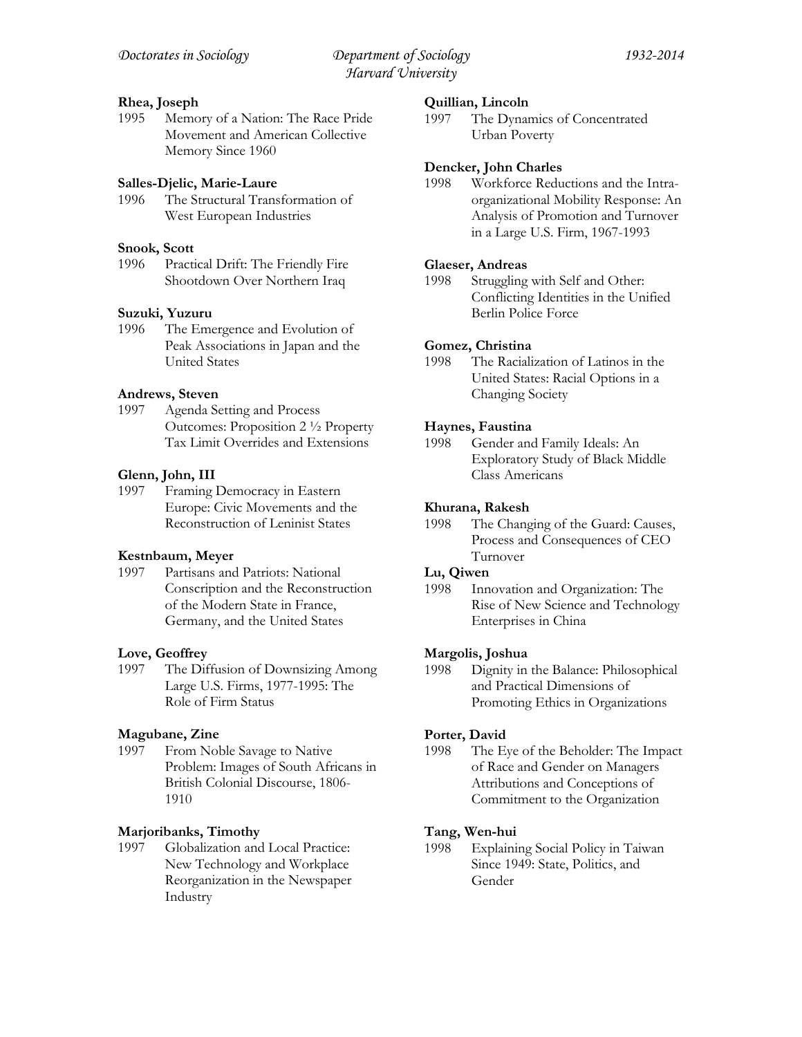### **Rhea, Joseph**

1995 Memory of a Nation: The Race Pride Movement and American Collective Memory Since 1960

# **Salles-Djelic, Marie-Laure**

1996 The Structural Transformation of West European Industries

### **Snook, Scott**

1996 Practical Drift: The Friendly Fire Shootdown Over Northern Iraq

# **Suzuki, Yuzuru**

1996 The Emergence and Evolution of Peak Associations in Japan and the United States

### **Andrews, Steven**

1997 Agenda Setting and Process Outcomes: Proposition 2 ½ Property Tax Limit Overrides and Extensions

# **Glenn, John, III**

1997 Framing Democracy in Eastern Europe: Civic Movements and the Reconstruction of Leninist States

### **Kestnbaum, Meyer**

1997 Partisans and Patriots: National Conscription and the Reconstruction of the Modern State in France, Germany, and the United States

### **Love, Geoffrey**

1997 The Diffusion of Downsizing Among Large U.S. Firms, 1977-1995: The Role of Firm Status

# **Magubane, Zine**

1997 From Noble Savage to Native Problem: Images of South Africans in British Colonial Discourse, 1806- 1910

# **Marjoribanks, Timothy**

1997 Globalization and Local Practice: New Technology and Workplace Reorganization in the Newspaper Industry

### **Quillian, Lincoln**

1997 The Dynamics of Concentrated Urban Poverty

### **Dencker, John Charles**

1998 Workforce Reductions and the Intraorganizational Mobility Response: An Analysis of Promotion and Turnover in a Large U.S. Firm, 1967-1993

# **Glaeser, Andreas**

1998 Struggling with Self and Other: Conflicting Identities in the Unified Berlin Police Force

### **Gomez, Christina**

1998 The Racialization of Latinos in the United States: Racial Options in a Changing Society

# **Haynes, Faustina**

1998 Gender and Family Ideals: An Exploratory Study of Black Middle Class Americans

### **Khurana, Rakesh**

1998 The Changing of the Guard: Causes, Process and Consequences of CEO Turnover

### **Lu, Qiwen**

1998 Innovation and Organization: The Rise of New Science and Technology Enterprises in China

# **Margolis, Joshua**

1998 Dignity in the Balance: Philosophical and Practical Dimensions of Promoting Ethics in Organizations

### **Porter, David**

1998 The Eye of the Beholder: The Impact of Race and Gender on Managers Attributions and Conceptions of Commitment to the Organization

# **Tang, Wen-hui**

1998 Explaining Social Policy in Taiwan Since 1949: State, Politics, and Gender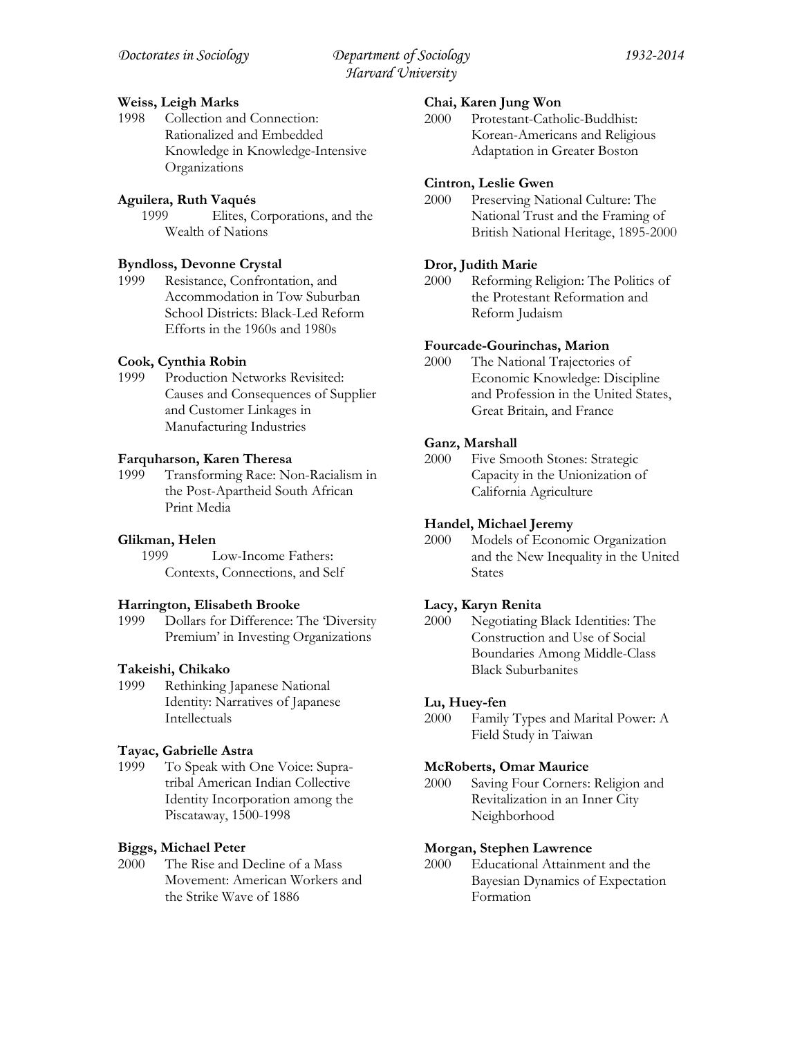# **Weiss, Leigh Marks**

1998 Collection and Connection: Rationalized and Embedded Knowledge in Knowledge-Intensive Organizations

# **Aguilera, Ruth Vaqués**

1999 Elites, Corporations, and the Wealth of Nations

# **Byndloss, Devonne Crystal**

1999 Resistance, Confrontation, and Accommodation in Tow Suburban School Districts: Black-Led Reform Efforts in the 1960s and 1980s

# **Cook, Cynthia Robin**

1999 Production Networks Revisited: Causes and Consequences of Supplier and Customer Linkages in Manufacturing Industries

# **Farquharson, Karen Theresa**

1999 Transforming Race: Non-Racialism in the Post-Apartheid South African Print Media

# **Glikman, Helen**

1999 Low-Income Fathers: Contexts, Connections, and Self

### **Harrington, Elisabeth Brooke**

1999 Dollars for Difference: The 'Diversity Premium' in Investing Organizations

# **Takeishi, Chikako**

1999 Rethinking Japanese National Identity: Narratives of Japanese Intellectuals

# **Tayac, Gabrielle Astra**

1999 To Speak with One Voice: Supratribal American Indian Collective Identity Incorporation among the Piscataway, 1500-1998

# **Biggs, Michael Peter**

2000 The Rise and Decline of a Mass Movement: American Workers and the Strike Wave of 1886

### **Chai, Karen Jung Won**

2000 Protestant-Catholic-Buddhist: Korean-Americans and Religious Adaptation in Greater Boston

# **Cintron, Leslie Gwen**

2000 Preserving National Culture: The National Trust and the Framing of British National Heritage, 1895-2000

# **Dror, Judith Marie**

2000 Reforming Religion: The Politics of the Protestant Reformation and Reform Judaism

### **Fourcade-Gourinchas, Marion**

2000 The National Trajectories of Economic Knowledge: Discipline and Profession in the United States, Great Britain, and France

# **Ganz, Marshall**

2000 Five Smooth Stones: Strategic Capacity in the Unionization of California Agriculture

# **Handel, Michael Jeremy**

2000 Models of Economic Organization and the New Inequality in the United States

# **Lacy, Karyn Renita**

2000 Negotiating Black Identities: The Construction and Use of Social Boundaries Among Middle-Class Black Suburbanites

# **Lu, Huey-fen**

2000 Family Types and Marital Power: A Field Study in Taiwan

### **McRoberts, Omar Maurice**

2000 Saving Four Corners: Religion and Revitalization in an Inner City Neighborhood

### **Morgan, Stephen Lawrence**

2000 Educational Attainment and the Bayesian Dynamics of Expectation Formation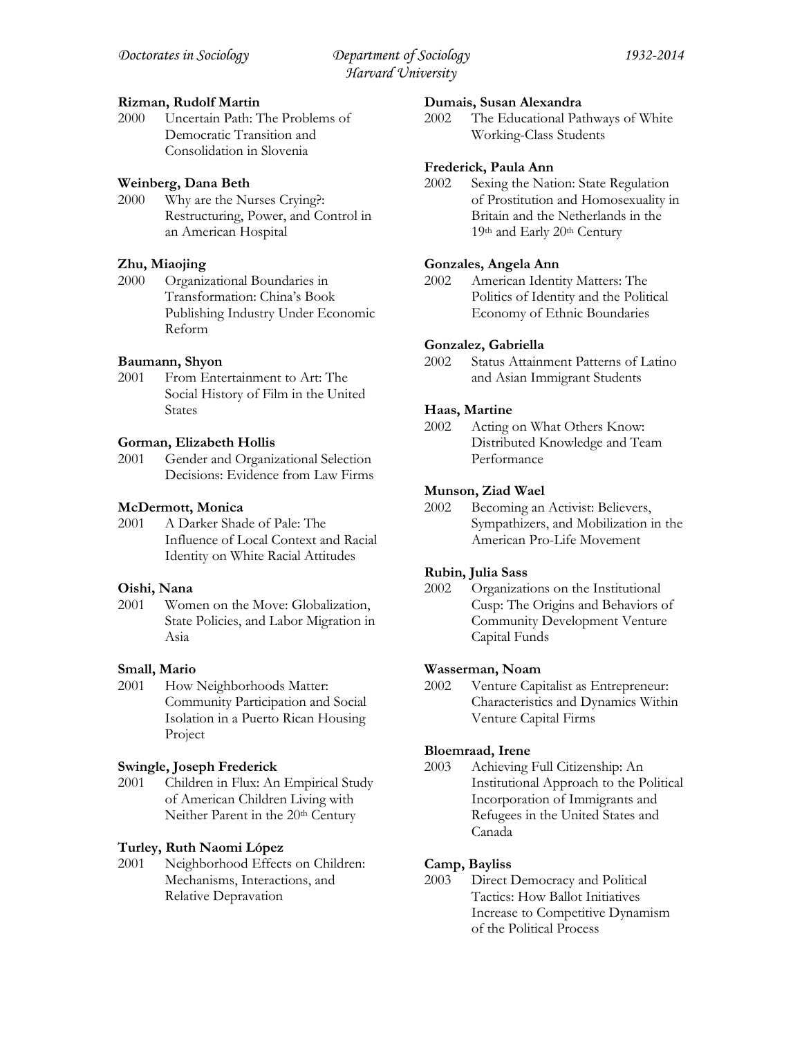# **Rizman, Rudolf Martin**

2000 Uncertain Path: The Problems of Democratic Transition and Consolidation in Slovenia

# **Weinberg, Dana Beth**

2000 Why are the Nurses Crying?: Restructuring, Power, and Control in an American Hospital

# **Zhu, Miaojing**

2000 Organizational Boundaries in Transformation: China's Book Publishing Industry Under Economic Reform

# **Baumann, Shyon**

2001 From Entertainment to Art: The Social History of Film in the United States

# **Gorman, Elizabeth Hollis**

2001 Gender and Organizational Selection Decisions: Evidence from Law Firms

# **McDermott, Monica**

2001 A Darker Shade of Pale: The Influence of Local Context and Racial Identity on White Racial Attitudes

# **Oishi, Nana**

2001 Women on the Move: Globalization, State Policies, and Labor Migration in Asia

# **Small, Mario**<br>2001 **How**

How Neighborhoods Matter: Community Participation and Social Isolation in a Puerto Rican Housing Project

# **Swingle, Joseph Frederick**

2001 Children in Flux: An Empirical Study of American Children Living with Neither Parent in the 20<sup>th</sup> Century

# **Turley, Ruth Naomi López**

2001 Neighborhood Effects on Children: Mechanisms, Interactions, and Relative Depravation

### **Dumais, Susan Alexandra**

2002 The Educational Pathways of White Working-Class Students

# **Frederick, Paula Ann**

2002 Sexing the Nation: State Regulation of Prostitution and Homosexuality in Britain and the Netherlands in the 19th and Early 20th Century

# **Gonzales, Angela Ann**

2002 American Identity Matters: The Politics of Identity and the Political Economy of Ethnic Boundaries

# **Gonzalez, Gabriella**

2002 Status Attainment Patterns of Latino and Asian Immigrant Students

# **Haas, Martine**

2002 Acting on What Others Know: Distributed Knowledge and Team Performance

# **Munson, Ziad Wael**

2002 Becoming an Activist: Believers, Sympathizers, and Mobilization in the American Pro-Life Movement

# **Rubin, Julia Sass**

2002 Organizations on the Institutional Cusp: The Origins and Behaviors of Community Development Venture Capital Funds

# **Wasserman, Noam**

2002 Venture Capitalist as Entrepreneur: Characteristics and Dynamics Within Venture Capital Firms

# **Bloemraad, Irene**

2003 Achieving Full Citizenship: An Institutional Approach to the Political Incorporation of Immigrants and Refugees in the United States and Canada

# **Camp, Bayliss**

2003 Direct Democracy and Political Tactics: How Ballot Initiatives Increase to Competitive Dynamism of the Political Process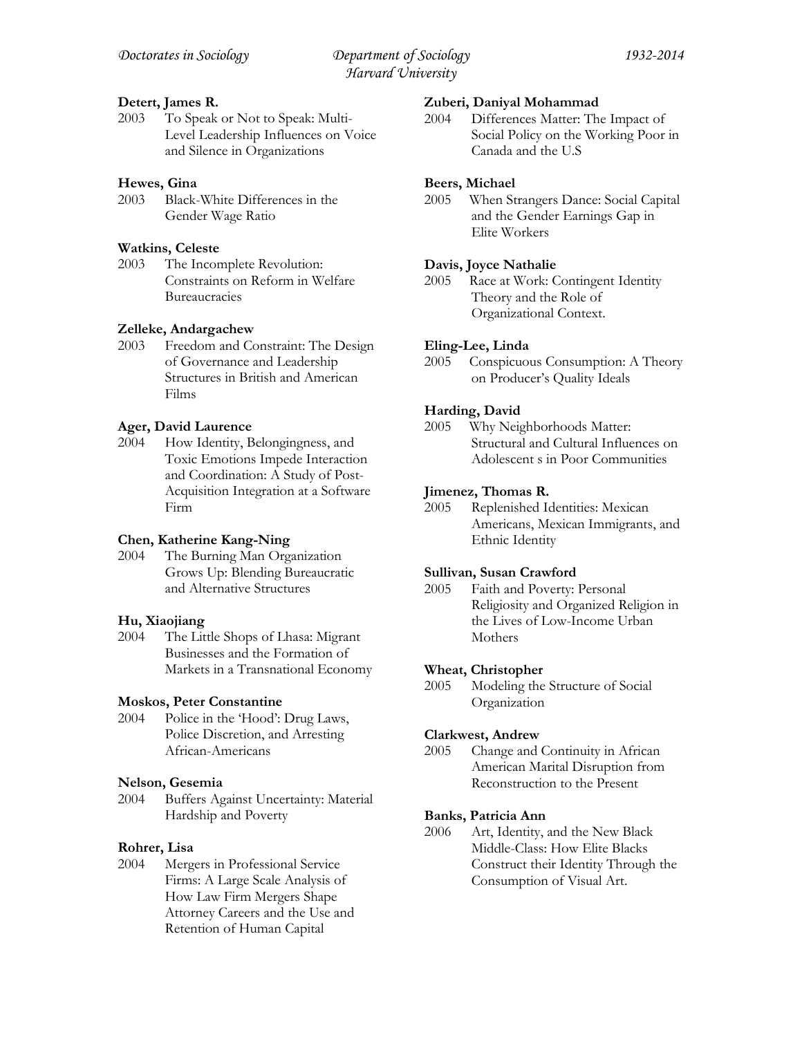# **Detert, James R.**

2003 To Speak or Not to Speak: Multi-Level Leadership Influences on Voice and Silence in Organizations

# **Hewes, Gina**

2003 Black-White Differences in the Gender Wage Ratio

### **Watkins, Celeste**

2003 The Incomplete Revolution: Constraints on Reform in Welfare Bureaucracies

# **Zelleke, Andargachew**

2003 Freedom and Constraint: The Design of Governance and Leadership Structures in British and American Films

# **Ager, David Laurence**

2004 How Identity, Belongingness, and Toxic Emotions Impede Interaction and Coordination: A Study of Post-Acquisition Integration at a Software Firm

# **Chen, Katherine Kang-Ning**

2004 The Burning Man Organization Grows Up: Blending Bureaucratic and Alternative Structures

### **Hu, Xiaojiang**

2004 The Little Shops of Lhasa: Migrant Businesses and the Formation of Markets in a Transnational Economy

### **Moskos, Peter Constantine**

2004 Police in the 'Hood': Drug Laws, Police Discretion, and Arresting African-Americans

### **Nelson, Gesemia**

2004 Buffers Against Uncertainty: Material Hardship and Poverty

### **Rohrer, Lisa**

2004 Mergers in Professional Service Firms: A Large Scale Analysis of How Law Firm Mergers Shape Attorney Careers and the Use and Retention of Human Capital

### **Zuberi, Daniyal Mohammad**

2004 Differences Matter: The Impact of Social Policy on the Working Poor in Canada and the U.S

# **Beers, Michael**

2005 When Strangers Dance: Social Capital and the Gender Earnings Gap in Elite Workers

# **Davis, Joyce Nathalie**

2005 Race at Work: Contingent Identity Theory and the Role of Organizational Context.

# **Eling-Lee, Linda**

2005 Conspicuous Consumption: A Theory on Producer's Quality Ideals

# **Harding, David**

2005 Why Neighborhoods Matter: Structural and Cultural Influences on Adolescent s in Poor Communities

# **Jimenez, Thomas R.**

2005 Replenished Identities: Mexican Americans, Mexican Immigrants, and Ethnic Identity

### **Sullivan, Susan Crawford**

2005 Faith and Poverty: Personal Religiosity and Organized Religion in the Lives of Low-Income Urban Mothers

### **Wheat, Christopher**

2005 Modeling the Structure of Social Organization

### **Clarkwest, Andrew**

2005 Change and Continuity in African American Marital Disruption from Reconstruction to the Present

### **Banks, Patricia Ann**

2006 Art, Identity, and the New Black Middle-Class: How Elite Blacks Construct their Identity Through the Consumption of Visual Art.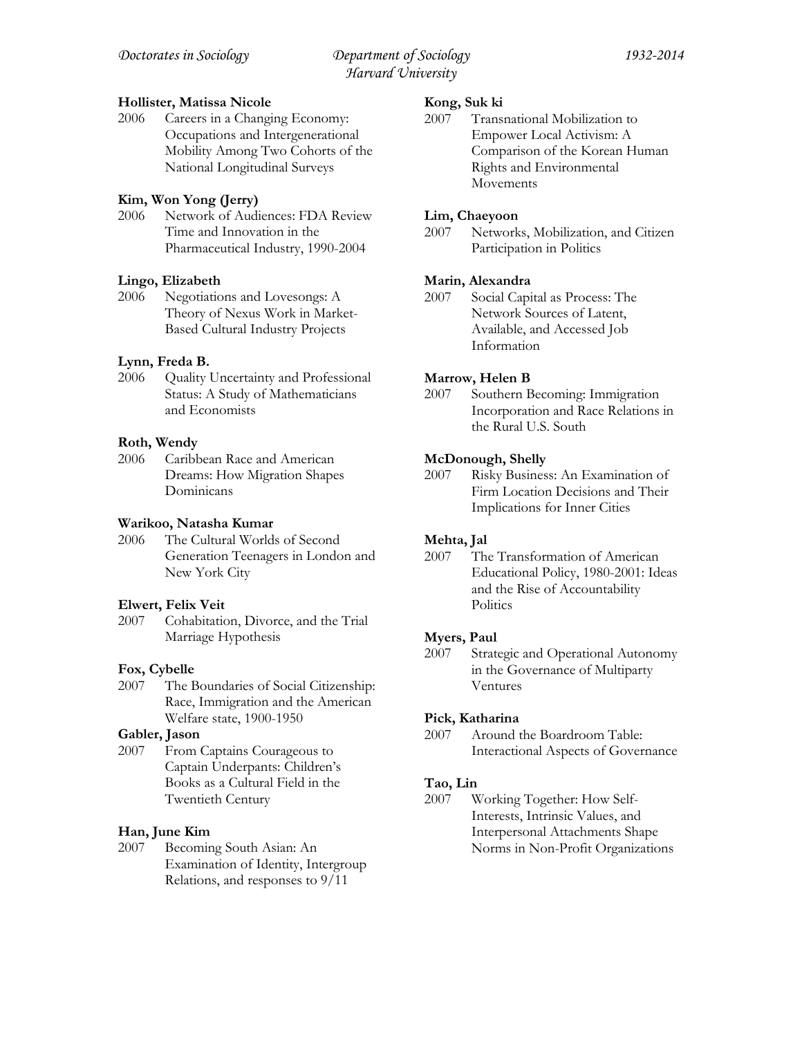# **Hollister, Matissa Nicole**

2006 Careers in a Changing Economy: Occupations and Intergenerational Mobility Among Two Cohorts of the National Longitudinal Surveys

# **Kim, Won Yong (Jerry)**

Network of Audiences: FDA Review Time and Innovation in the Pharmaceutical Industry, 1990-2004

# **Lingo, Elizabeth**

2006 Negotiations and Lovesongs: A Theory of Nexus Work in Market-Based Cultural Industry Projects

# **Lynn, Freda B.**

2006 Quality Uncertainty and Professional Status: A Study of Mathematicians and Economists

# **Roth, Wendy**

2006 Caribbean Race and American Dreams: How Migration Shapes Dominicans

# **Warikoo, Natasha Kumar**

2006 The Cultural Worlds of Second Generation Teenagers in London and New York City

# **Elwert, Felix Veit**

2007 Cohabitation, Divorce, and the Trial Marriage Hypothesis

# **Fox, Cybelle**

2007 The Boundaries of Social Citizenship: Race, Immigration and the American Welfare state, 1900-1950

# **Gabler, Jason**

2007 From Captains Courageous to Captain Underpants: Children's Books as a Cultural Field in the Twentieth Century

# **Han, June Kim**

2007 Becoming South Asian: An Examination of Identity, Intergroup Relations, and responses to 9/11

# **Kong, Suk ki**

2007 Transnational Mobilization to Empower Local Activism: A Comparison of the Korean Human Rights and Environmental Movements

# **Lim, Chaeyoon**

2007 Networks, Mobilization, and Citizen Participation in Politics

# **Marin, Alexandra**

2007 Social Capital as Process: The Network Sources of Latent, Available, and Accessed Job Information

# **Marrow, Helen B**

2007 Southern Becoming: Immigration Incorporation and Race Relations in the Rural U.S. South

# **McDonough, Shelly**

2007 Risky Business: An Examination of Firm Location Decisions and Their Implications for Inner Cities

# **Mehta, Jal**

2007 The Transformation of American Educational Policy, 1980-2001: Ideas and the Rise of Accountability **Politics** 

# **Myers, Paul**

2007 Strategic and Operational Autonomy in the Governance of Multiparty Ventures

# **Pick, Katharina**

2007 Around the Boardroom Table: Interactional Aspects of Governance

# **Tao, Lin**

2007 Working Together: How Self-Interests, Intrinsic Values, and Interpersonal Attachments Shape Norms in Non-Profit Organizations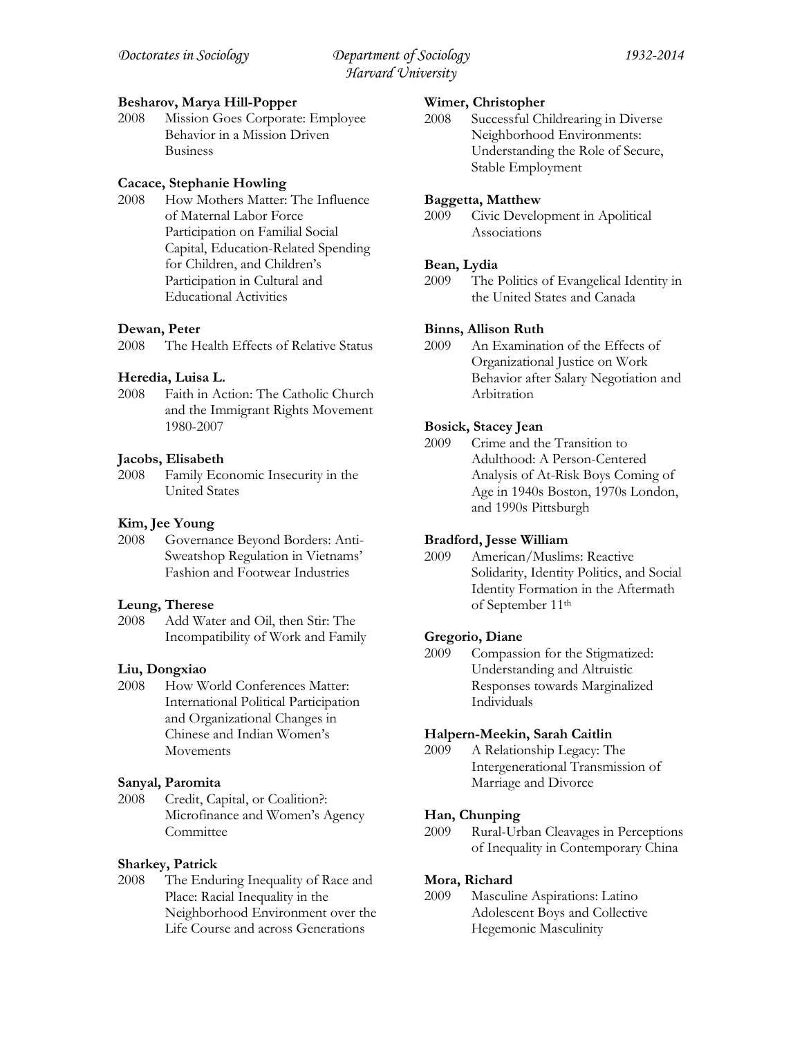# **Besharov, Marya Hill-Popper**

2008 Mission Goes Corporate: Employee Behavior in a Mission Driven Business

# **Cacace, Stephanie Howling**

2008 How Mothers Matter: The Influence of Maternal Labor Force Participation on Familial Social Capital, Education-Related Spending for Children, and Children's Participation in Cultural and Educational Activities

# **Dewan, Peter**

2008 The Health Effects of Relative Status

# **Heredia, Luisa L.**

2008 Faith in Action: The Catholic Church and the Immigrant Rights Movement 1980-2007

# **Jacobs, Elisabeth**

2008 Family Economic Insecurity in the United States

# **Kim, Jee Young**

2008 Governance Beyond Borders: Anti-Sweatshop Regulation in Vietnams' Fashion and Footwear Industries

### **Leung, Therese**

2008 Add Water and Oil, then Stir: The Incompatibility of Work and Family

# **Liu, Dongxiao**

2008 How World Conferences Matter: International Political Participation and Organizational Changes in Chinese and Indian Women's Movements

### **Sanyal, Paromita**

2008 Credit, Capital, or Coalition?: Microfinance and Women's Agency **Committee** 

# **Sharkey, Patrick**

2008 The Enduring Inequality of Race and Place: Racial Inequality in the Neighborhood Environment over the Life Course and across Generations

### **Wimer, Christopher**

2008 Successful Childrearing in Diverse Neighborhood Environments: Understanding the Role of Secure, Stable Employment

# **Baggetta, Matthew**

2009 Civic Development in Apolitical Associations

# **Bean, Lydia**

2009 The Politics of Evangelical Identity in the United States and Canada

# **Binns, Allison Ruth**

2009 An Examination of the Effects of Organizational Justice on Work Behavior after Salary Negotiation and Arbitration

# **Bosick, Stacey Jean**

2009 Crime and the Transition to Adulthood: A Person-Centered Analysis of At-Risk Boys Coming of Age in 1940s Boston, 1970s London, and 1990s Pittsburgh

# **Bradford, Jesse William**

2009 American/Muslims: Reactive Solidarity, Identity Politics, and Social Identity Formation in the Aftermath of September 11th

### **Gregorio, Diane**

2009 Compassion for the Stigmatized: Understanding and Altruistic Responses towards Marginalized Individuals

### **Halpern-Meekin, Sarah Caitlin**

2009 A Relationship Legacy: The Intergenerational Transmission of Marriage and Divorce

### **Han, Chunping**

2009 Rural-Urban Cleavages in Perceptions of Inequality in Contemporary China

# **Mora, Richard**

2009 Masculine Aspirations: Latino Adolescent Boys and Collective Hegemonic Masculinity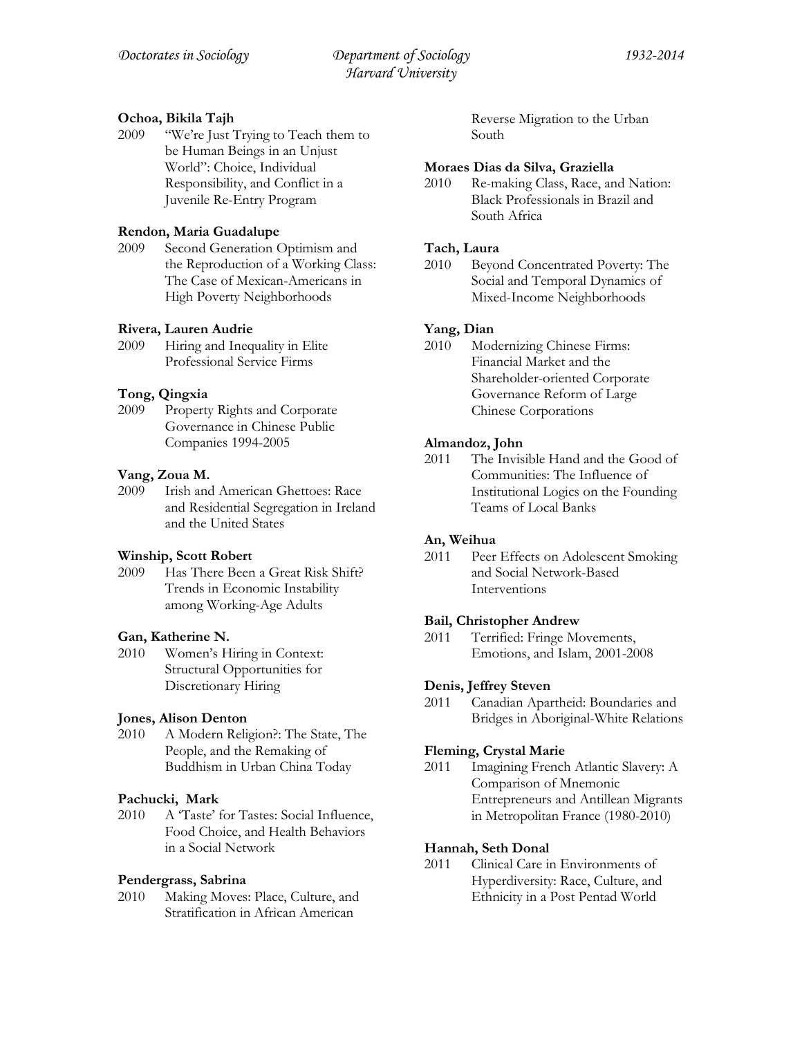# **Ochoa, Bikila Tajh**

2009 "We're Just Trying to Teach them to be Human Beings in an Unjust World": Choice, Individual Responsibility, and Conflict in a Juvenile Re-Entry Program

# **Rendon, Maria Guadalupe**

2009 Second Generation Optimism and the Reproduction of a Working Class: The Case of Mexican-Americans in High Poverty Neighborhoods

# **Rivera, Lauren Audrie**

2009 Hiring and Inequality in Elite Professional Service Firms

# **Tong, Qingxia**

2009 Property Rights and Corporate Governance in Chinese Public Companies 1994-2005

# **Vang, Zoua M.**

2009 Irish and American Ghettoes: Race and Residential Segregation in Ireland and the United States

# **Winship, Scott Robert**

2009 Has There Been a Great Risk Shift? Trends in Economic Instability among Working-Age Adults

# **Gan, Katherine N.**

2010 Women's Hiring in Context: Structural Opportunities for Discretionary Hiring

# **Jones, Alison Denton**

2010 A Modern Religion?: The State, The People, and the Remaking of Buddhism in Urban China Today

# **Pachucki, Mark**

2010 A 'Taste' for Tastes: Social Influence, Food Choice, and Health Behaviors in a Social Network

# **Pendergrass, Sabrina**

2010 Making Moves: Place, Culture, and Stratification in African American

Reverse Migration to the Urban South

# **Moraes Dias da Silva, Graziella**

2010 Re-making Class, Race, and Nation: Black Professionals in Brazil and South Africa

# **Tach, Laura**

2010 Beyond Concentrated Poverty: The Social and Temporal Dynamics of Mixed-Income Neighborhoods

# **Yang, Dian**

2010 Modernizing Chinese Firms: Financial Market and the Shareholder-oriented Corporate Governance Reform of Large Chinese Corporations

# **Almandoz, John**

2011 The Invisible Hand and the Good of Communities: The Influence of Institutional Logics on the Founding Teams of Local Banks

# **An, Weihua**

2011 Peer Effects on Adolescent Smoking and Social Network-Based Interventions

# **Bail, Christopher Andrew**

2011 Terrified: Fringe Movements, Emotions, and Islam, 2001-2008

# **Denis, Jeffrey Steven**

2011 Canadian Apartheid: Boundaries and Bridges in Aboriginal-White Relations

# **Fleming, Crystal Marie**

2011 Imagining French Atlantic Slavery: A Comparison of Mnemonic Entrepreneurs and Antillean Migrants in Metropolitan France (1980-2010)

# **Hannah, Seth Donal**

2011 Clinical Care in Environments of Hyperdiversity: Race, Culture, and Ethnicity in a Post Pentad World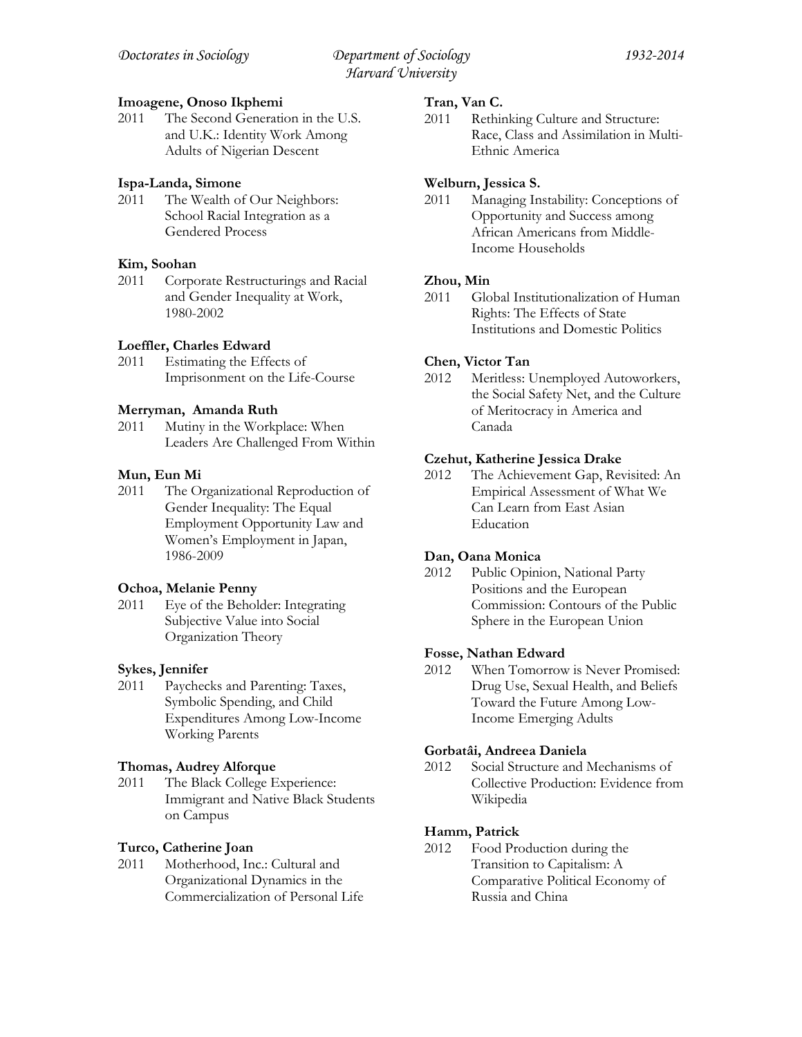# **Imoagene, Onoso Ikphemi**

2011 The Second Generation in the U.S. and U.K.: Identity Work Among Adults of Nigerian Descent

# **Ispa-Landa, Simone**

2011 The Wealth of Our Neighbors: School Racial Integration as a Gendered Process

# **Kim, Soohan**

2011 Corporate Restructurings and Racial and Gender Inequality at Work, 1980-2002

# **Loeffler, Charles Edward**

2011 Estimating the Effects of Imprisonment on the Life-Course

# **Merryman, Amanda Ruth**

2011 Mutiny in the Workplace: When Leaders Are Challenged From Within

# **Mun, Eun Mi**

2011 The Organizational Reproduction of Gender Inequality: The Equal Employment Opportunity Law and Women's Employment in Japan, 1986-2009

# **Ochoa, Melanie Penny**

2011 Eye of the Beholder: Integrating Subjective Value into Social Organization Theory

# **Sykes, Jennifer**

2011 Paychecks and Parenting: Taxes, Symbolic Spending, and Child Expenditures Among Low-Income Working Parents

# **Thomas, Audrey Alforque**

2011 The Black College Experience: Immigrant and Native Black Students on Campus

# **Turco, Catherine Joan**

2011 Motherhood, Inc.: Cultural and Organizational Dynamics in the Commercialization of Personal Life

# **Tran, Van C.**

2011 Rethinking Culture and Structure: Race, Class and Assimilation in Multi-Ethnic America

# **Welburn, Jessica S.**

2011 Managing Instability: Conceptions of Opportunity and Success among African Americans from Middle-Income Households

# **Zhou, Min**

2011 Global Institutionalization of Human Rights: The Effects of State Institutions and Domestic Politics

# **Chen, Victor Tan**

2012 Meritless: Unemployed Autoworkers, the Social Safety Net, and the Culture of Meritocracy in America and Canada

# **Czehut, Katherine Jessica Drake**

2012 The Achievement Gap, Revisited: An Empirical Assessment of What We Can Learn from East Asian Education

# **Dan, Oana Monica**

2012 Public Opinion, National Party Positions and the European Commission: Contours of the Public Sphere in the European Union

# **Fosse, Nathan Edward**

2012 When Tomorrow is Never Promised: Drug Use, Sexual Health, and Beliefs Toward the Future Among Low-Income Emerging Adults

# **Gorbatâi, Andreea Daniela**

2012 Social Structure and Mechanisms of Collective Production: Evidence from Wikipedia

# **Hamm, Patrick**

2012 Food Production during the Transition to Capitalism: A Comparative Political Economy of Russia and China